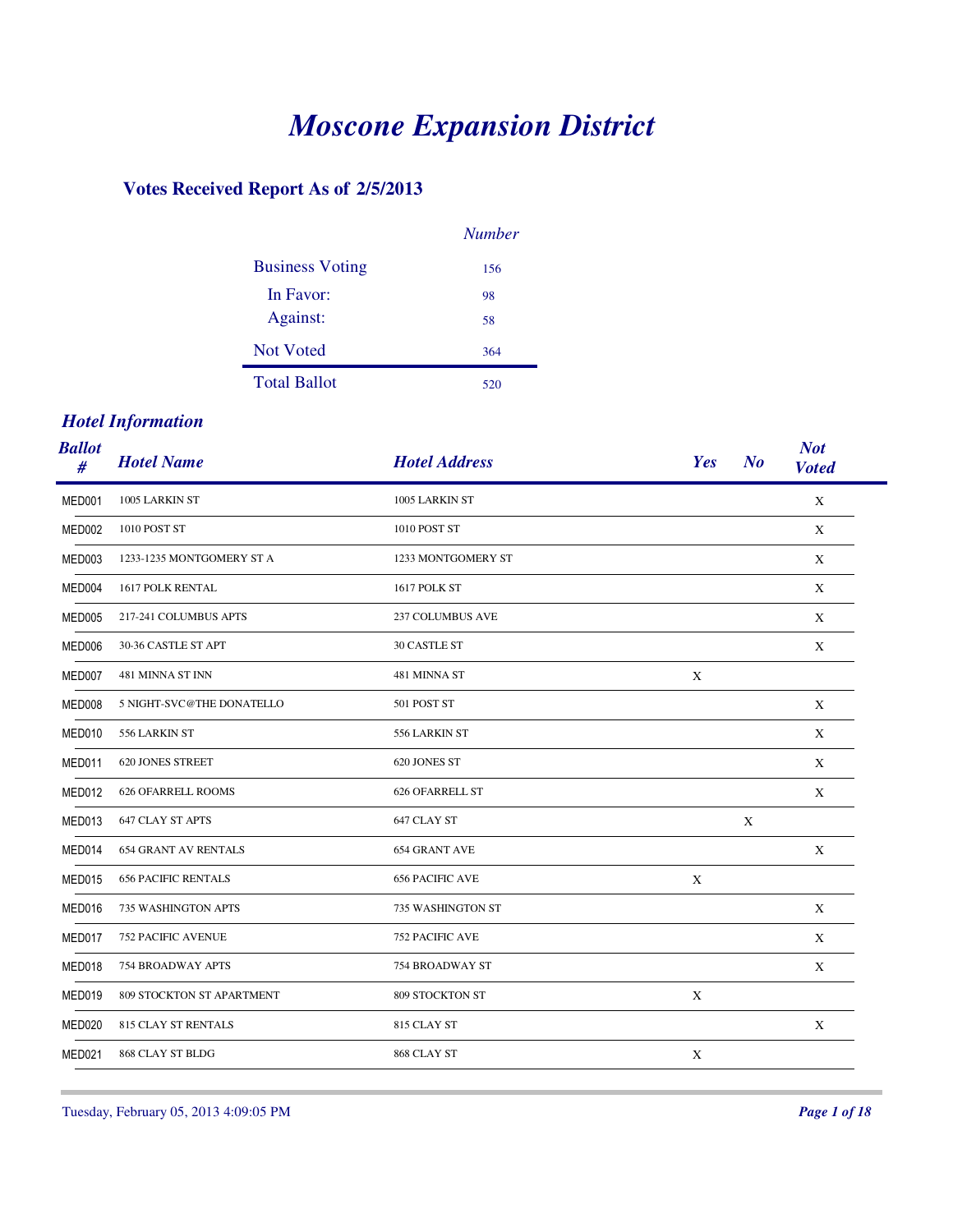# *Moscone Expansion District*

#### **Votes Received Report As of 2/5/2013**

|                        | <b>Number</b> |
|------------------------|---------------|
| <b>Business Voting</b> | 156           |
| In Favor:              | 98            |
| Against:               | 58            |
| Not Voted              | 364           |
| <b>Total Ballot</b>    | 520           |

#### *Hotel Information*

| <b>Ballot</b><br># | <b>Hotel Name</b>           | <b>Hotel Address</b>    | Yes<br>N <sub>o</sub> | <b>Not</b><br><b>Voted</b> |
|--------------------|-----------------------------|-------------------------|-----------------------|----------------------------|
| MED001             | 1005 LARKIN ST              | 1005 LARKIN ST          |                       | X                          |
| MED002             | 1010 POST ST                | 1010 POST ST            |                       | X                          |
| MED003             | 1233-1235 MONTGOMERY ST A   | 1233 MONTGOMERY ST      |                       | X                          |
| MED004             | 1617 POLK RENTAL            | 1617 POLK ST            |                       | X                          |
| MED005             | 217-241 COLUMBUS APTS       | <b>237 COLUMBUS AVE</b> |                       | X                          |
| MED006             | 30-36 CASTLE ST APT         | <b>30 CASTLE ST</b>     |                       | X                          |
| MED007             | 481 MINNA ST INN            | 481 MINNA ST            | X                     |                            |
| MED008             | 5 NIGHT-SVC@THE DONATELLO   | 501 POST ST             |                       | X                          |
| MED010             | 556 LARKIN ST               | 556 LARKIN ST           |                       | X                          |
| MED011             | <b>620 JONES STREET</b>     | 620 JONES ST            |                       | X                          |
| MED012             | <b>626 OFARRELL ROOMS</b>   | <b>626 OFARRELL ST</b>  |                       | X                          |
| MED013             | <b>647 CLAY ST APTS</b>     | 647 CLAY ST             | X                     |                            |
| MED014             | <b>654 GRANT AV RENTALS</b> | <b>654 GRANT AVE</b>    |                       | X                          |
| MED015             | <b>656 PACIFIC RENTALS</b>  | <b>656 PACIFIC AVE</b>  | X                     |                            |
| MED016             | 735 WASHINGTON APTS         | 735 WASHINGTON ST       |                       | X                          |
| MED017             | <b>752 PACIFIC AVENUE</b>   | <b>752 PACIFIC AVE</b>  |                       | X                          |
| MED018             | 754 BROADWAY APTS           | 754 BROADWAY ST         |                       | X                          |
| MED019             | 809 STOCKTON ST APARTMENT   | 809 STOCKTON ST         | X                     |                            |
| MED020             | <b>815 CLAY ST RENTALS</b>  | 815 CLAY ST             |                       | X                          |
| MED021             | 868 CLAY ST BLDG            | 868 CLAY ST             | X                     |                            |

Tuesday, February 05, 2013 4:09:05 PM *Page 1 of 18*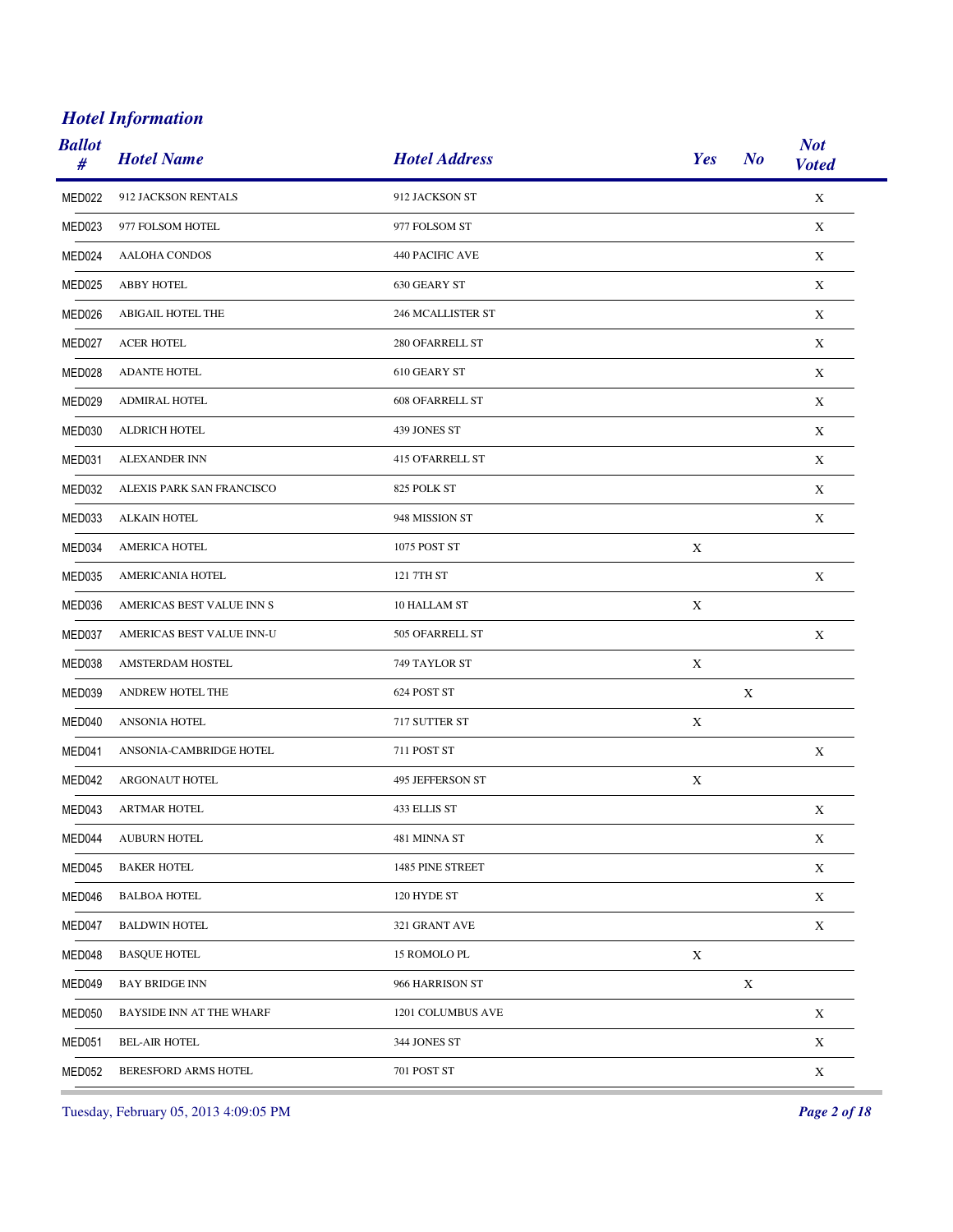| <b>Ballot</b><br># | <b>Hotel Name</b>         | <b>Hotel Address</b>     | Yes         | N <sub>o</sub> | <b>Not</b><br><b>Voted</b> |
|--------------------|---------------------------|--------------------------|-------------|----------------|----------------------------|
| MED022             | 912 JACKSON RENTALS       | 912 JACKSON ST           |             |                | $\mathbf X$                |
| MED023             | 977 FOLSOM HOTEL          | 977 FOLSOM ST            |             |                | X                          |
| MED024             | <b>AALOHA CONDOS</b>      | 440 PACIFIC AVE          |             |                | $\mathbf X$                |
| MED025             | <b>ABBY HOTEL</b>         | 630 GEARY ST             |             |                | X                          |
| MED026             | ABIGAIL HOTEL THE         | <b>246 MCALLISTER ST</b> |             |                | X                          |
| MED027             | <b>ACER HOTEL</b>         | 280 OFARRELL ST          |             |                | X                          |
| MED028             | <b>ADANTE HOTEL</b>       | 610 GEARY ST             |             |                | X                          |
| MED029             | ADMIRAL HOTEL             | <b>608 OFARRELL ST</b>   |             |                | X                          |
| MED030             | ALDRICH HOTEL             | 439 JONES ST             |             |                | X                          |
| MED031             | <b>ALEXANDER INN</b>      | <b>415 O'FARRELL ST</b>  |             |                | X                          |
| MED032             | ALEXIS PARK SAN FRANCISCO | 825 POLK ST              |             |                | $\mathbf X$                |
| MED033             | <b>ALKAIN HOTEL</b>       | 948 MISSION ST           |             |                | X                          |
| MED034             | <b>AMERICA HOTEL</b>      | 1075 POST ST             | $\mathbf X$ |                |                            |
| MED035             | AMERICANIA HOTEL          | 121 7TH ST               |             |                | X                          |
| MED036             | AMERICAS BEST VALUE INN S | 10 HALLAM ST             | $\mathbf X$ |                |                            |
| MED037             | AMERICAS BEST VALUE INN-U | 505 OFARRELL ST          |             |                | X                          |
| MED038             | AMSTERDAM HOSTEL          | 749 TAYLOR ST            | X           |                |                            |
| MED039             | ANDREW HOTEL THE          | 624 POST ST              |             | X              |                            |
| MED040             | ANSONIA HOTEL             | 717 SUTTER ST            | X           |                |                            |
| MED041             | ANSONIA-CAMBRIDGE HOTEL   | 711 POST ST              |             |                | X                          |
| MED042             | ARGONAUT HOTEL            | 495 JEFFERSON ST         | X           |                |                            |
| MED043             | <b>ARTMAR HOTEL</b>       | 433 ELLIS ST             |             |                | $\mathbf X$                |
| MED044             | AUBURN HOTEL              | 481 MINNA ST             |             |                | X                          |
| MED045             | <b>BAKER HOTEL</b>        | 1485 PINE STREET         |             |                | $\mathbf X$                |
| MED046             | <b>BALBOA HOTEL</b>       | 120 HYDE ST              |             |                | $\mathbf X$                |
| MED047             | <b>BALDWIN HOTEL</b>      | 321 GRANT AVE            |             |                | $\mathbf X$                |
| MED048             | <b>BASQUE HOTEL</b>       | 15 ROMOLO PL             | X           |                |                            |
| MED049             | <b>BAY BRIDGE INN</b>     | 966 HARRISON ST          |             | $\mathbf X$    |                            |
| MED050             | BAYSIDE INN AT THE WHARF  | 1201 COLUMBUS AVE        |             |                | $\mathbf X$                |
| MED051             | <b>BEL-AIR HOTEL</b>      | 344 JONES ST             |             |                | $\mathbf X$                |
| MED052             | BERESFORD ARMS HOTEL      | 701 POST ST              |             |                | $\mathbf X$                |

Tuesday, February 05, 2013 4:09:05 PM *Page 2 of 18*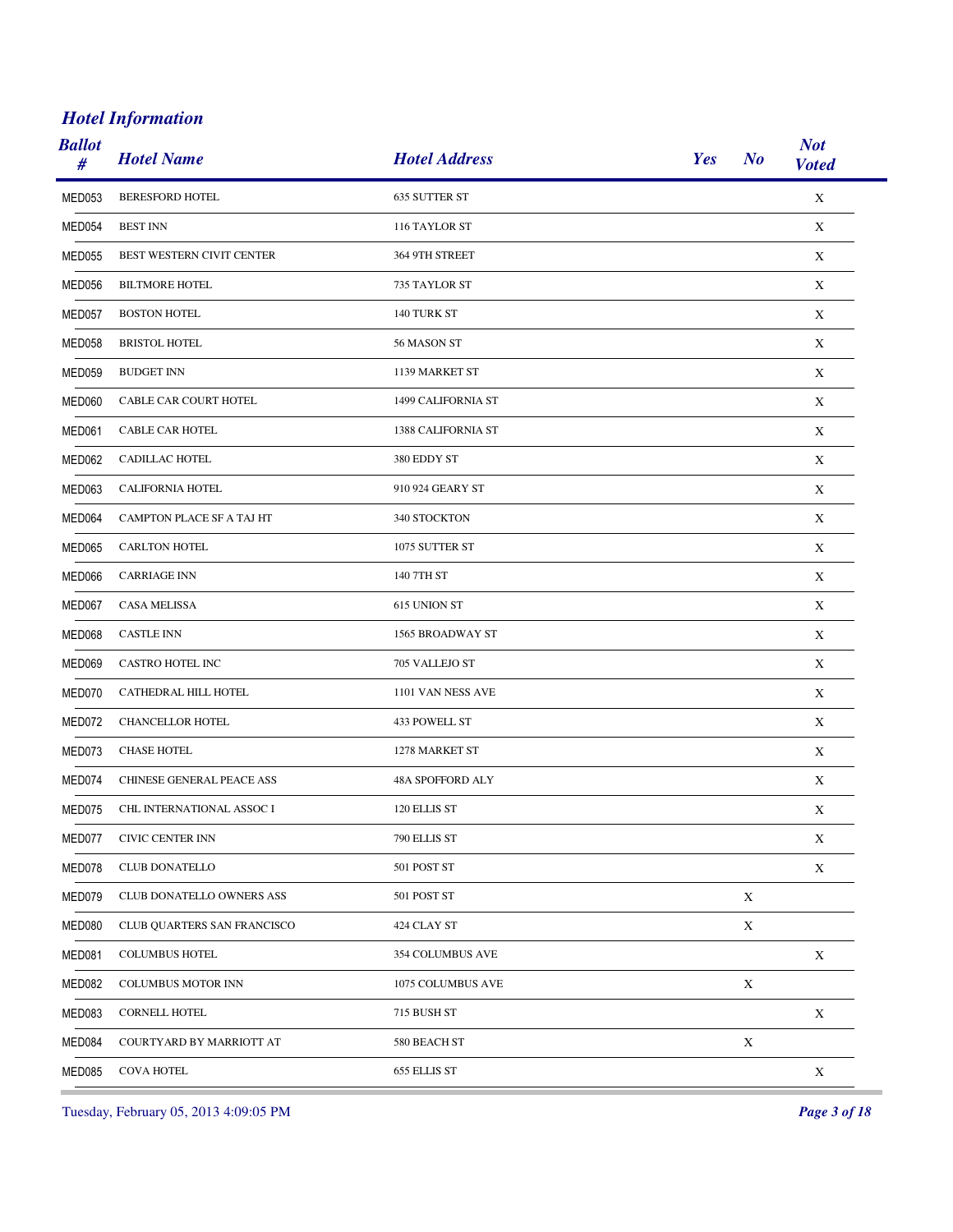| <b>Ballot</b><br># | <b>Hotel Name</b>           | <b>Hotel Address</b> | Yes<br>N <sub>o</sub> | <b>Not</b><br><b>Voted</b> |
|--------------------|-----------------------------|----------------------|-----------------------|----------------------------|
| MED053             | <b>BERESFORD HOTEL</b>      | 635 SUTTER ST        |                       | $\mathbf X$                |
| MED054             | <b>BEST INN</b>             | 116 TAYLOR ST        |                       | X                          |
| MED055             | BEST WESTERN CIVIT CENTER   | 364 9TH STREET       |                       | X                          |
| MED056             | <b>BILTMORE HOTEL</b>       | 735 TAYLOR ST        |                       | X                          |
| MED057             | <b>BOSTON HOTEL</b>         | 140 TURK ST          |                       | X                          |
| MED058             | <b>BRISTOL HOTEL</b>        | 56 MASON ST          |                       | X                          |
| MED059             | <b>BUDGET INN</b>           | 1139 MARKET ST       |                       | X                          |
| MED060             | CABLE CAR COURT HOTEL       | 1499 CALIFORNIA ST   |                       | X                          |
| MED061             | CABLE CAR HOTEL             | 1388 CALIFORNIA ST   |                       | X                          |
| MED062             | CADILLAC HOTEL              | 380 EDDY ST          |                       | X                          |
| MED063             | CALIFORNIA HOTEL            | 910 924 GEARY ST     |                       | X                          |
| MED064             | CAMPTON PLACE SF A TAJ HT   | 340 STOCKTON         |                       | X                          |
| MED065             | <b>CARLTON HOTEL</b>        | 1075 SUTTER ST       |                       | X                          |
| MED066             | <b>CARRIAGE INN</b>         | 140 7TH ST           |                       | X                          |
| MED067             | CASA MELISSA                | 615 UNION ST         |                       | X                          |
| MED068             | <b>CASTLE INN</b>           | 1565 BROADWAY ST     |                       | X                          |
| MED069             | CASTRO HOTEL INC            | 705 VALLEJO ST       |                       | X                          |
| MED070             | CATHEDRAL HILL HOTEL        | 1101 VAN NESS AVE    |                       | X                          |
| MED072             | CHANCELLOR HOTEL            | 433 POWELL ST        |                       | X                          |
| MED073             | <b>CHASE HOTEL</b>          | 1278 MARKET ST       |                       | X                          |
| MED074             | CHINESE GENERAL PEACE ASS   | 48A SPOFFORD ALY     |                       | X                          |
| MED075             | CHL INTERNATIONAL ASSOC I   | 120 ELLIS ST         |                       | X                          |
| MED077             | CIVIC CENTER INN            | 790 ELLIS ST         |                       | X                          |
| MED078             | <b>CLUB DONATELLO</b>       | 501 POST ST          |                       | $\mathbf X$                |
| MED079             | CLUB DONATELLO OWNERS ASS   | 501 POST ST          | X                     |                            |
| MED080             | CLUB QUARTERS SAN FRANCISCO | 424 CLAY ST          | $\mathbf X$           |                            |
| MED081             | <b>COLUMBUS HOTEL</b>       | 354 COLUMBUS AVE     |                       | X                          |
| MED082             | COLUMBUS MOTOR INN          | 1075 COLUMBUS AVE    | $\mathbf X$           |                            |
| MED083             | <b>CORNELL HOTEL</b>        | 715 BUSH ST          |                       | $\mathbf X$                |
| MED084             | COURTYARD BY MARRIOTT AT    | 580 BEACH ST         | $\mathbf X$           |                            |
| MED085             | COVA HOTEL                  | 655 ELLIS ST         |                       | $\mathbf X$                |

Tuesday, February 05, 2013 4:09:05 PM *Page 3 of 18*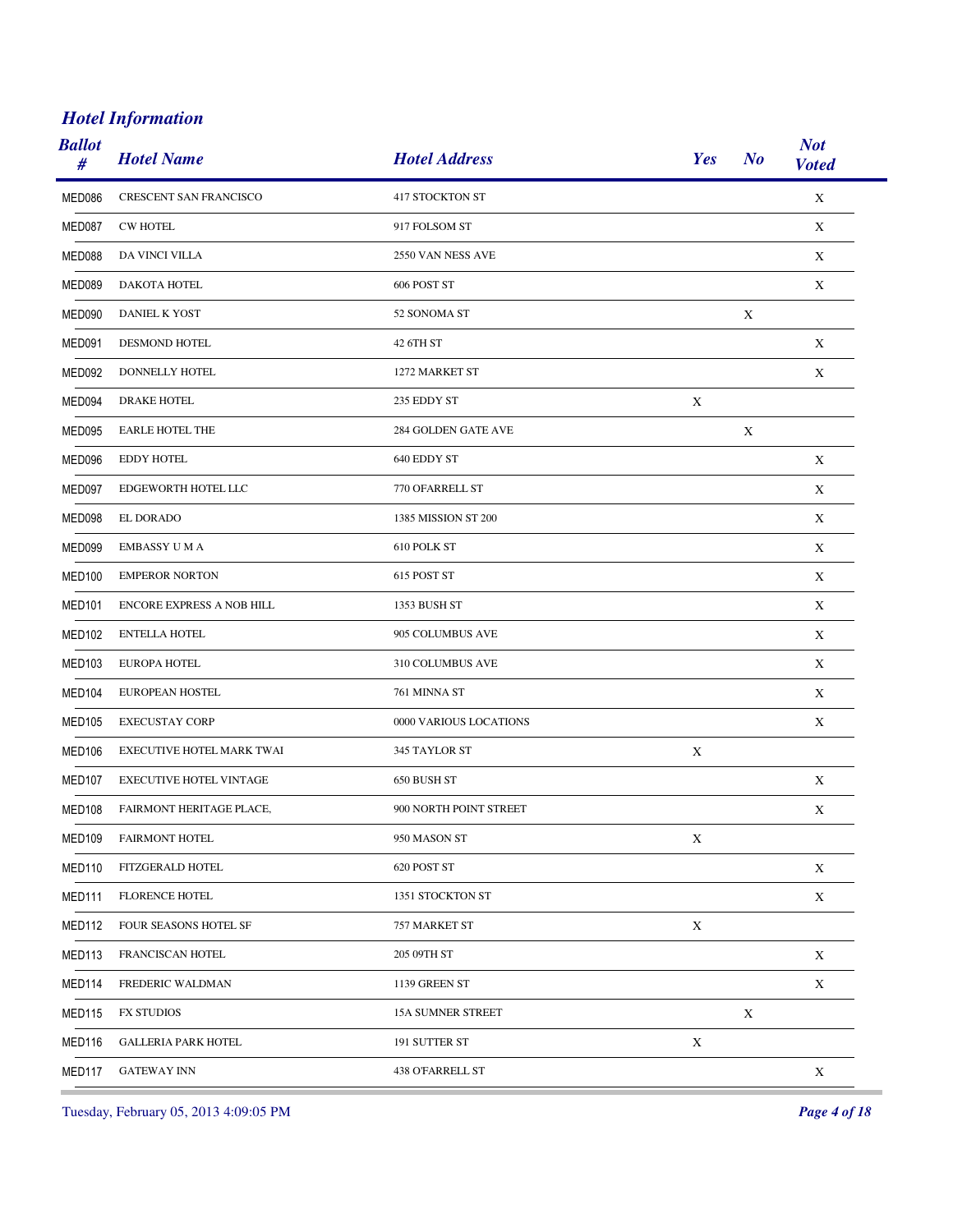| <b>Ballot</b><br># | <b>Hotel Name</b>              | <b>Hotel Address</b>     | Yes         | N <sub>o</sub> | <b>Not</b><br><b>Voted</b> |
|--------------------|--------------------------------|--------------------------|-------------|----------------|----------------------------|
| MED086             | <b>CRESCENT SAN FRANCISCO</b>  | <b>417 STOCKTON ST</b>   |             |                | $\mathbf X$                |
| MED087             | <b>CW HOTEL</b>                | 917 FOLSOM ST            |             |                | X                          |
| MED088             | DA VINCI VILLA                 | 2550 VAN NESS AVE        |             |                | X                          |
| MED089             | DAKOTA HOTEL                   | 606 POST ST              |             |                | X                          |
| MED090             | DANIEL K YOST                  | 52 SONOMA ST             |             | X              |                            |
| MED091             | <b>DESMOND HOTEL</b>           | 42 6TH ST                |             |                | X                          |
| MED092             | DONNELLY HOTEL                 | 1272 MARKET ST           |             |                | X                          |
| MED094             | <b>DRAKE HOTEL</b>             | 235 EDDY ST              | X           |                |                            |
| MED095             | <b>EARLE HOTEL THE</b>         | 284 GOLDEN GATE AVE      |             | X              |                            |
| MED096             | <b>EDDY HOTEL</b>              | 640 EDDY ST              |             |                | X                          |
| MED097             | EDGEWORTH HOTEL LLC            | 770 OFARRELL ST          |             |                | X                          |
| MED098             | EL DORADO                      | 1385 MISSION ST 200      |             |                | X                          |
| MED099             | <b>EMBASSY U M A</b>           | 610 POLK ST              |             |                | X                          |
| <b>MED100</b>      | <b>EMPEROR NORTON</b>          | 615 POST ST              |             |                | X                          |
| MED <sub>101</sub> | ENCORE EXPRESS A NOB HILL      | 1353 BUSH ST             |             |                | X                          |
| MED <sub>102</sub> | <b>ENTELLA HOTEL</b>           | 905 COLUMBUS AVE         |             |                | X                          |
| <b>MED103</b>      | <b>EUROPA HOTEL</b>            | 310 COLUMBUS AVE         |             |                | X                          |
| MED <sub>104</sub> | EUROPEAN HOSTEL                | 761 MINNA ST             |             |                | X                          |
| <b>MED105</b>      | <b>EXECUSTAY CORP</b>          | 0000 VARIOUS LOCATIONS   |             |                | X                          |
| <b>MED106</b>      | EXECUTIVE HOTEL MARK TWAI      | 345 TAYLOR ST            | X           |                |                            |
| MED107             | <b>EXECUTIVE HOTEL VINTAGE</b> | 650 BUSH ST              |             |                | X                          |
| <b>MED108</b>      | FAIRMONT HERITAGE PLACE,       | 900 NORTH POINT STREET   |             |                | $\mathbf X$                |
| <b>MED109</b>      | <b>FAIRMONT HOTEL</b>          | 950 MASON ST             | X           |                |                            |
| MED110             | FITZGERALD HOTEL               | 620 POST ST              |             |                | $\mathbf X$                |
| MED111             | <b>FLORENCE HOTEL</b>          | 1351 STOCKTON ST         |             |                | $\mathbf X$                |
| MED112             | FOUR SEASONS HOTEL SF          | 757 MARKET ST            | $\mathbf X$ |                |                            |
| MED113             | FRANCISCAN HOTEL               | 205 09TH ST              |             |                | $\mathbf X$                |
| MED114             | FREDERIC WALDMAN               | 1139 GREEN ST            |             |                | $\mathbf X$                |
| MED115             | <b>FX STUDIOS</b>              | <b>15A SUMNER STREET</b> |             | $\mathbf X$    |                            |
| MED116             | <b>GALLERIA PARK HOTEL</b>     | 191 SUTTER ST            | $\mathbf X$ |                |                            |
| MED117             | <b>GATEWAY INN</b>             | 438 O'FARRELL ST         |             |                | $\mathbf X$                |

Tuesday, February 05, 2013 4:09:05 PM *Page 4 of 18*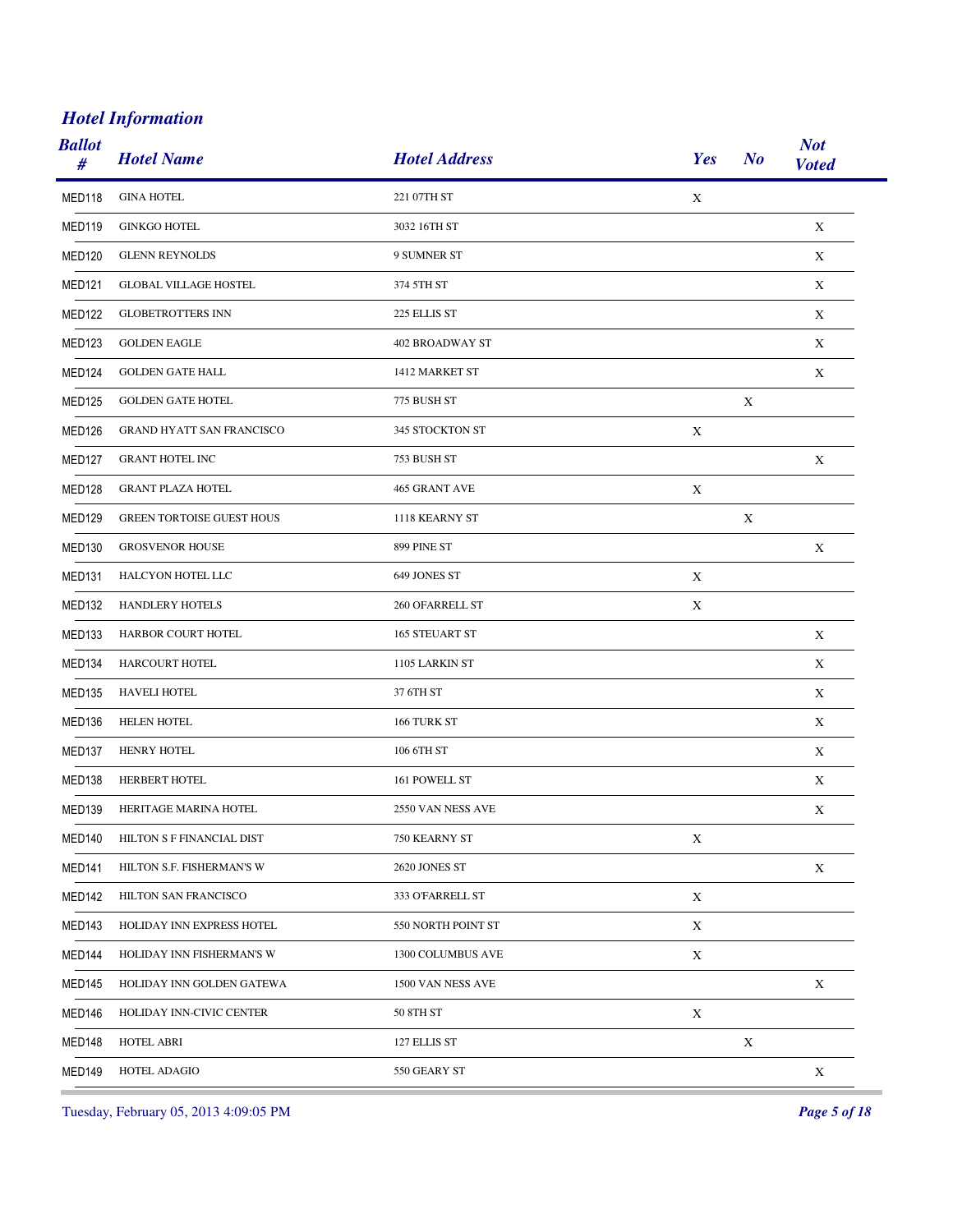| <b>Ballot</b><br># | <b>Hotel Name</b>                | <b>Hotel Address</b>   | Yes         | $\bm{N}$    | <b>Not</b><br><b>Voted</b> |
|--------------------|----------------------------------|------------------------|-------------|-------------|----------------------------|
| MED118             | <b>GINA HOTEL</b>                | 221 07TH ST            | $\mathbf X$ |             |                            |
| MED119             | <b>GINKGO HOTEL</b>              | 3032 16TH ST           |             |             | X                          |
| <b>MED120</b>      | <b>GLENN REYNOLDS</b>            | 9 SUMNER ST            |             |             | $\mathbf X$                |
| MED <sub>121</sub> | <b>GLOBAL VILLAGE HOSTEL</b>     | 374 5TH ST             |             |             | X                          |
| <b>MED122</b>      | <b>GLOBETROTTERS INN</b>         | 225 ELLIS ST           |             |             | X                          |
| MED123             | <b>GOLDEN EAGLE</b>              | <b>402 BROADWAY ST</b> |             |             | X                          |
| MED124             | <b>GOLDEN GATE HALL</b>          | 1412 MARKET ST         |             |             | X                          |
| <b>MED125</b>      | <b>GOLDEN GATE HOTEL</b>         | 775 BUSH ST            |             | X           |                            |
| MED <sub>126</sub> | <b>GRAND HYATT SAN FRANCISCO</b> | 345 STOCKTON ST        | X           |             |                            |
| MED127             | <b>GRANT HOTEL INC</b>           | 753 BUSH ST            |             |             | X                          |
| MED <sub>128</sub> | <b>GRANT PLAZA HOTEL</b>         | 465 GRANT AVE          | X           |             |                            |
| <b>MED129</b>      | <b>GREEN TORTOISE GUEST HOUS</b> | 1118 KEARNY ST         |             | $\mathbf X$ |                            |
| MED <sub>130</sub> | <b>GROSVENOR HOUSE</b>           | 899 PINE ST            |             |             | X                          |
| MED <sub>131</sub> | HALCYON HOTEL LLC                | 649 JONES ST           | X           |             |                            |
| <b>MED132</b>      | HANDLERY HOTELS                  | 260 OFARRELL ST        | X           |             |                            |
| MED <sub>133</sub> | HARBOR COURT HOTEL               | 165 STEUART ST         |             |             | X                          |
| MED134             | HARCOURT HOTEL                   | 1105 LARKIN ST         |             |             | X                          |
| MED <sub>135</sub> | <b>HAVELI HOTEL</b>              | 37 6TH ST              |             |             | X                          |
| MED136             | <b>HELEN HOTEL</b>               | 166 TURK ST            |             |             | X                          |
| MED <sub>137</sub> | <b>HENRY HOTEL</b>               | 106 6TH ST             |             |             | X                          |
| MED <sub>138</sub> | HERBERT HOTEL                    | 161 POWELL ST          |             |             | X                          |
| <b>MED139</b>      | HERITAGE MARINA HOTEL            | 2550 VAN NESS AVE      |             |             | $\mathbf X$                |
| <b>MED140</b>      | HILTON S F FINANCIAL DIST        | 750 KEARNY ST          | X           |             |                            |
| <b>MED141</b>      | HILTON S.F. FISHERMAN'S W        | 2620 JONES ST          |             |             | $\mathbf X$                |
| MED142             | HILTON SAN FRANCISCO             | 333 O'FARRELL ST       | $\mathbf X$ |             |                            |
| <b>MED143</b>      | HOLIDAY INN EXPRESS HOTEL        | 550 NORTH POINT ST     | $\mathbf X$ |             |                            |
| MED144             | HOLIDAY INN FISHERMAN'S W        | 1300 COLUMBUS AVE      | X           |             |                            |
| <b>MED145</b>      | HOLIDAY INN GOLDEN GATEWA        | 1500 VAN NESS AVE      |             |             | $\mathbf X$                |
| MED146             | HOLIDAY INN-CIVIC CENTER         | 50 8TH ST              | $\mathbf X$ |             |                            |
| MED148             | <b>HOTEL ABRI</b>                | 127 ELLIS ST           |             | $\mathbf X$ |                            |
| MED149             | HOTEL ADAGIO                     | 550 GEARY ST           |             |             | $\mathbf X$                |

Tuesday, February 05, 2013 4:09:05 PM *Page 5 of 18*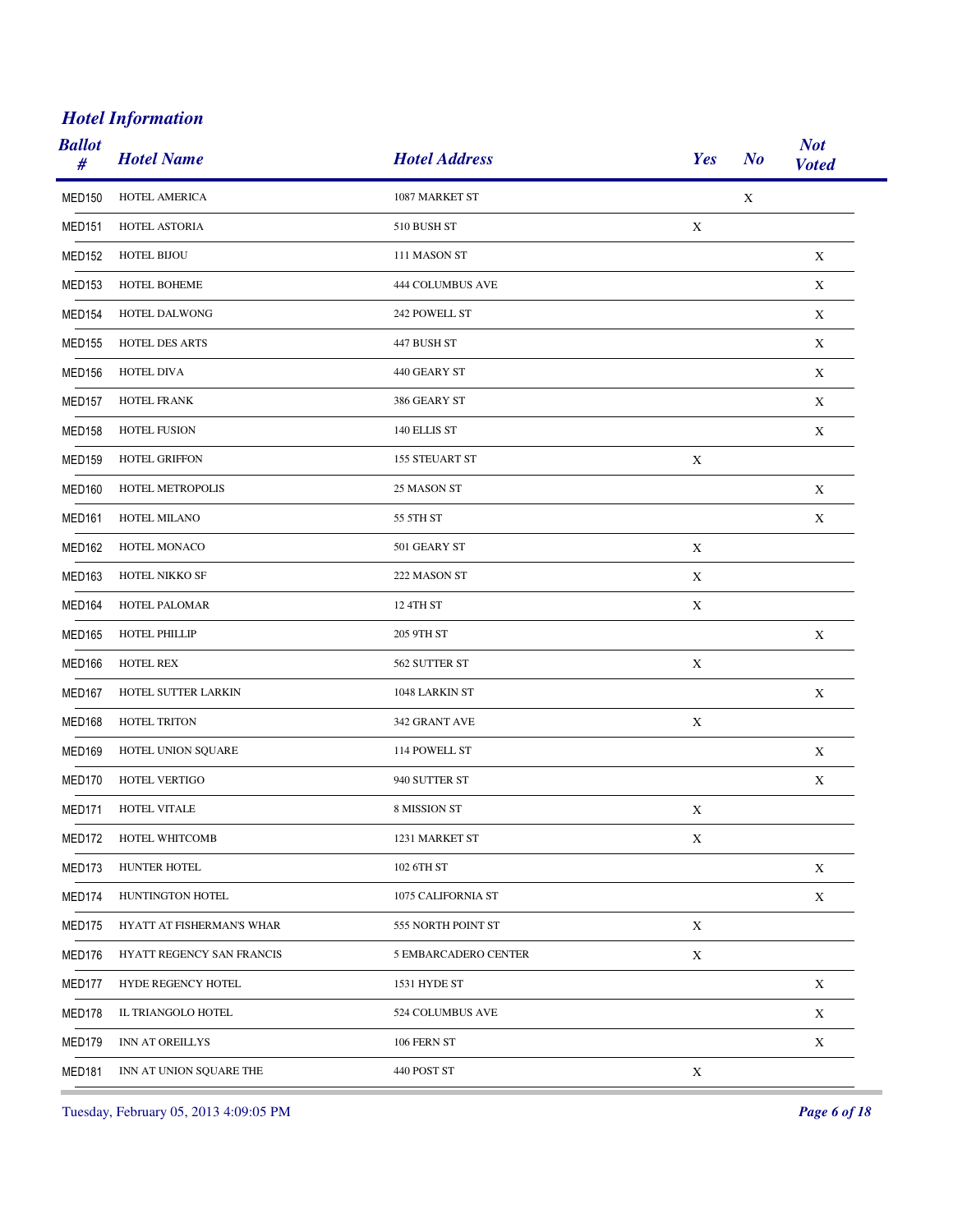| <b>Ballot</b><br># | <b>Hotel Name</b>         | <b>Hotel Address</b> | Yes         | <b>Not</b><br>$\bm{N}$<br><b>Voted</b> |  |
|--------------------|---------------------------|----------------------|-------------|----------------------------------------|--|
| <b>MED150</b>      | HOTEL AMERICA             | 1087 MARKET ST       |             | $\mathbf X$                            |  |
| MED <sub>151</sub> | HOTEL ASTORIA             | 510 BUSH ST          | X           |                                        |  |
| <b>MED152</b>      | <b>HOTEL BIJOU</b>        | 111 MASON ST         |             | X                                      |  |
| MED <sub>153</sub> | <b>HOTEL BOHEME</b>       | 444 COLUMBUS AVE     |             | X                                      |  |
| <b>MED154</b>      | HOTEL DALWONG             | 242 POWELL ST        |             | $\mathbf X$                            |  |
| <b>MED155</b>      | HOTEL DES ARTS            | 447 BUSH ST          |             | X                                      |  |
| <b>MED156</b>      | HOTEL DIVA                | 440 GEARY ST         |             | X                                      |  |
| <b>MED157</b>      | HOTEL FRANK               | 386 GEARY ST         |             | X                                      |  |
| MED <sub>158</sub> | <b>HOTEL FUSION</b>       | 140 ELLIS ST         |             | $\mathbf X$                            |  |
| <b>MED159</b>      | <b>HOTEL GRIFFON</b>      | 155 STEUART ST       | X           |                                        |  |
| MED <sub>160</sub> | HOTEL METROPOLIS          | 25 MASON ST          |             | X                                      |  |
| MED <sub>161</sub> | HOTEL MILANO              | 55 5TH ST            |             | $\mathbf X$                            |  |
| MED162             | HOTEL MONACO              | 501 GEARY ST         | $\mathbf X$ |                                        |  |
| MED <sub>163</sub> | HOTEL NIKKO SF            | 222 MASON ST         | X           |                                        |  |
| MED164             | HOTEL PALOMAR             | 12 4TH ST            | X           |                                        |  |
| <b>MED165</b>      | <b>HOTEL PHILLIP</b>      | 205 9TH ST           |             | X                                      |  |
| MED166             | <b>HOTEL REX</b>          | 562 SUTTER ST        | X           |                                        |  |
| MED <sub>167</sub> | HOTEL SUTTER LARKIN       | 1048 LARKIN ST       |             | X                                      |  |
| MED168             | HOTEL TRITON              | 342 GRANT AVE        | X           |                                        |  |
| <b>MED169</b>      | HOTEL UNION SQUARE        | 114 POWELL ST        |             | $\mathbf X$                            |  |
| MED170             | HOTEL VERTIGO             | 940 SUTTER ST        |             | X                                      |  |
| MED171             | HOTEL VITALE              | 8 MISSION ST         | $\mathbf X$ |                                        |  |
| MED172             | HOTEL WHITCOMB            | 1231 MARKET ST       | X           |                                        |  |
| MED173             | HUNTER HOTEL              | 102 6TH ST           |             | $\mathbf X$                            |  |
| MED174             | HUNTINGTON HOTEL          | 1075 CALIFORNIA ST   |             | $\mathbf X$                            |  |
| MED175             | HYATT AT FISHERMAN'S WHAR | 555 NORTH POINT ST   | $\mathbf X$ |                                        |  |
| MED176             | HYATT REGENCY SAN FRANCIS | 5 EMBARCADERO CENTER | X           |                                        |  |
| MED177             | HYDE REGENCY HOTEL        | 1531 HYDE ST         |             | $\mathbf X$                            |  |
| MED178             | IL TRIANGOLO HOTEL        | 524 COLUMBUS AVE     |             | $\mathbf X$                            |  |
| MED179             | INN AT OREILLYS           | 106 FERN ST          |             | $\mathbf X$                            |  |
| <b>MED181</b>      | INN AT UNION SQUARE THE   | 440 POST ST          | $\mathbf X$ |                                        |  |

Tuesday, February 05, 2013 4:09:05 PM *Page 6 of 18*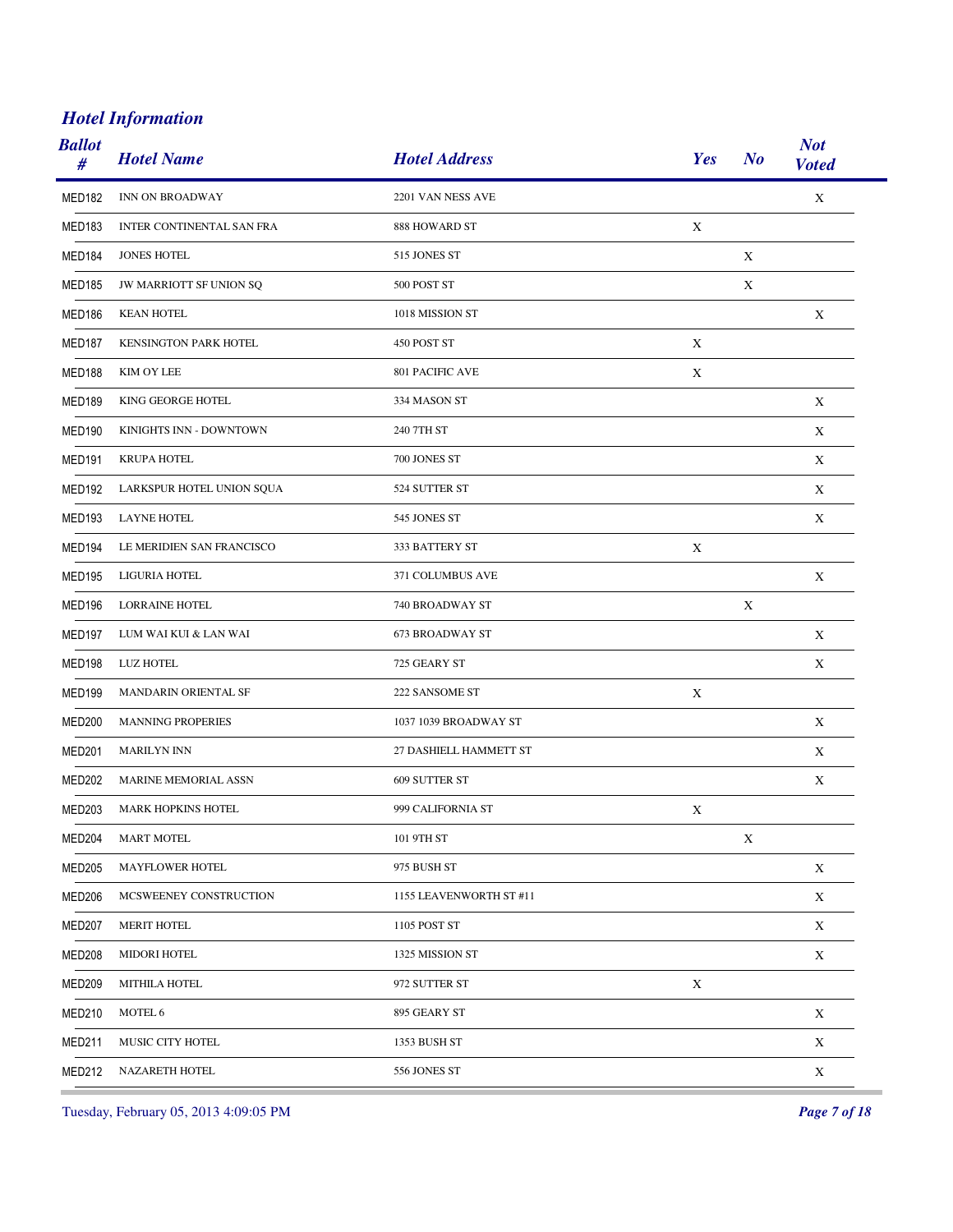| <b>Ballot</b><br># | <b>Hotel Name</b>           | <b>Hotel Address</b>    | Yes         | N <sub>o</sub> | <b>Not</b><br><b>Voted</b> |
|--------------------|-----------------------------|-------------------------|-------------|----------------|----------------------------|
| <b>MED182</b>      | INN ON BROADWAY             | 2201 VAN NESS AVE       |             |                | $\mathbf X$                |
| <b>MED183</b>      | INTER CONTINENTAL SAN FRA   | 888 HOWARD ST           | X           |                |                            |
| MED184             | <b>JONES HOTEL</b>          | 515 JONES ST            |             | X              |                            |
| <b>MED185</b>      | JW MARRIOTT SF UNION SQ     | 500 POST ST             |             | X              |                            |
| <b>MED186</b>      | <b>KEAN HOTEL</b>           | 1018 MISSION ST         |             |                | $\mathbf X$                |
| MED <sub>187</sub> | KENSINGTON PARK HOTEL       | 450 POST ST             | X           |                |                            |
| MED188             | KIM OY LEE                  | 801 PACIFIC AVE         | $\mathbf X$ |                |                            |
| <b>MED189</b>      | KING GEORGE HOTEL           | 334 MASON ST            |             |                | X                          |
| MED <sub>190</sub> | KINIGHTS INN - DOWNTOWN     | 240 7TH ST              |             |                | X                          |
| <b>MED191</b>      | <b>KRUPA HOTEL</b>          | 700 JONES ST            |             |                | X                          |
| <b>MED192</b>      | LARKSPUR HOTEL UNION SQUA   | 524 SUTTER ST           |             |                | X                          |
| MED193             | <b>LAYNE HOTEL</b>          | 545 JONES ST            |             |                | X                          |
| MED194             | LE MERIDIEN SAN FRANCISCO   | 333 BATTERY ST          | $\mathbf X$ |                |                            |
| MED195             | LIGURIA HOTEL               | 371 COLUMBUS AVE        |             |                | $\mathbf X$                |
| <b>MED196</b>      | <b>LORRAINE HOTEL</b>       | 740 BROADWAY ST         |             | $\mathbf X$    |                            |
| MED <sub>197</sub> | LUM WAI KUI & LAN WAI       | 673 BROADWAY ST         |             |                | X                          |
| <b>MED198</b>      | <b>LUZ HOTEL</b>            | 725 GEARY ST            |             |                | $\mathbf X$                |
| MED199             | <b>MANDARIN ORIENTAL SF</b> | 222 SANSOME ST          | X           |                |                            |
| <b>MED200</b>      | <b>MANNING PROPERIES</b>    | 1037 1039 BROADWAY ST   |             |                | X                          |
| <b>MED201</b>      | <b>MARILYN INN</b>          | 27 DASHIELL HAMMETT ST  |             |                | X                          |
| <b>MED202</b>      | <b>MARINE MEMORIAL ASSN</b> | 609 SUTTER ST           |             |                | X                          |
| MED203             | <b>MARK HOPKINS HOTEL</b>   | 999 CALIFORNIA ST       | $\mathbf X$ |                |                            |
| MED204             | <b>MART MOTEL</b>           | 101 9TH ST              |             | Χ              |                            |
| <b>MED205</b>      | MAYFLOWER HOTEL             | 975 BUSH ST             |             |                | $\mathbf X$                |
| <b>MED206</b>      | MCSWEENEY CONSTRUCTION      | 1155 LEAVENWORTH ST #11 |             |                | $\mathbf X$                |
| <b>MED207</b>      | MERIT HOTEL                 | 1105 POST ST            |             |                | $\mathbf X$                |
| <b>MED208</b>      | <b>MIDORI HOTEL</b>         | 1325 MISSION ST         |             |                | $\mathbf X$                |
| <b>MED209</b>      | MITHILA HOTEL               | 972 SUTTER ST           | $\mathbf X$ |                |                            |
| <b>MED210</b>      | MOTEL 6                     | 895 GEARY ST            |             |                | X                          |
| <b>MED211</b>      | MUSIC CITY HOTEL            | 1353 BUSH ST            |             |                | $\mathbf X$                |
| MED212             | NAZARETH HOTEL              | 556 JONES ST            |             |                | $\mathbf X$                |

Tuesday, February 05, 2013 4:09:05 PM *Page 7 of 18*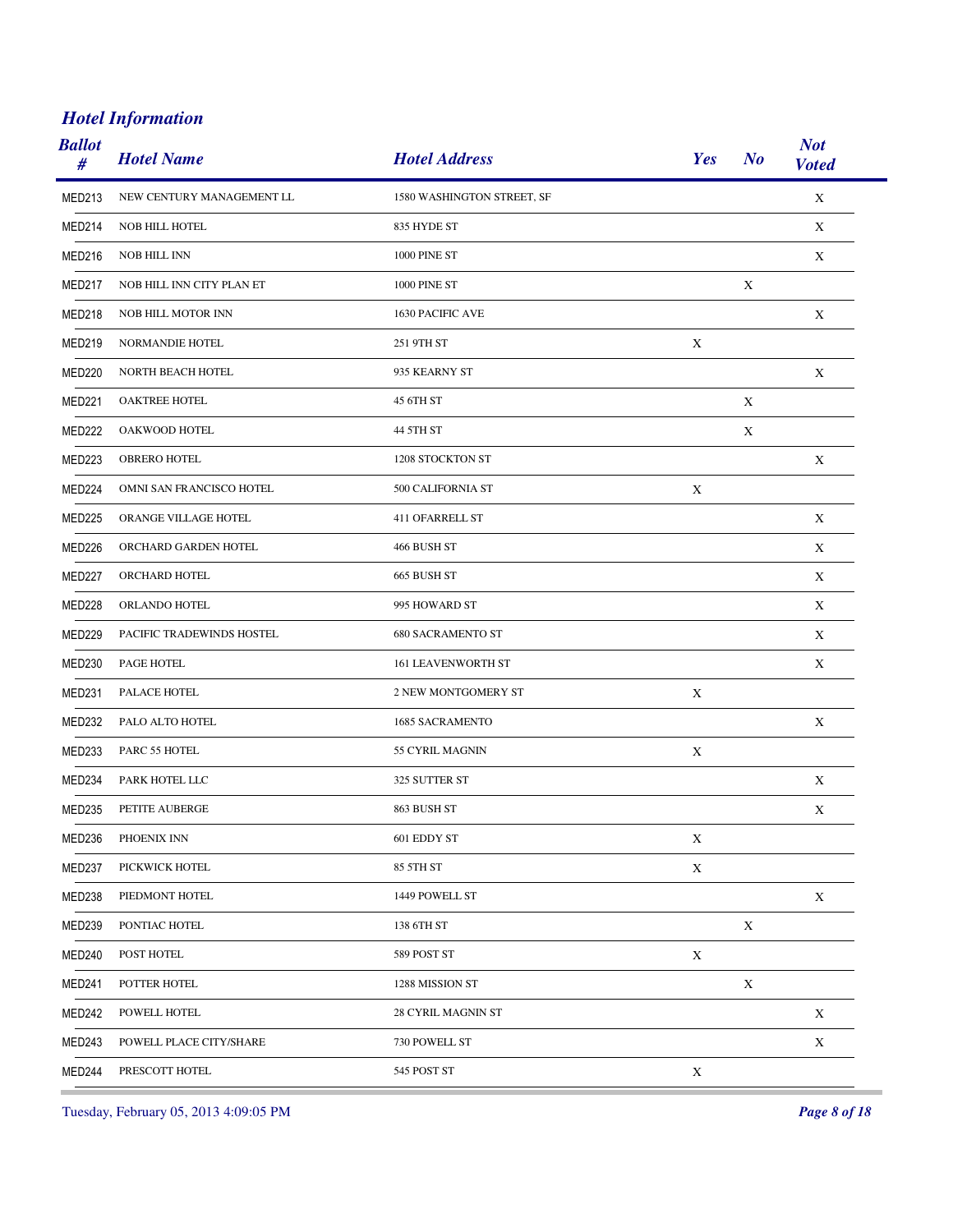| <b>Ballot</b><br># | <b>Hotel Name</b>         | <b>Hotel Address</b>       | Yes         | N <sub>o</sub> | <b>Not</b><br><b>Voted</b> |
|--------------------|---------------------------|----------------------------|-------------|----------------|----------------------------|
| MED213             | NEW CENTURY MANAGEMENT LL | 1580 WASHINGTON STREET, SF |             |                | $\mathbf X$                |
| MED214             | <b>NOB HILL HOTEL</b>     | 835 HYDE ST                |             |                | X                          |
| MED216             | <b>NOB HILL INN</b>       | 1000 PINE ST               |             |                | X                          |
| MED217             | NOB HILL INN CITY PLAN ET | 1000 PINE ST               |             | X              |                            |
| MED218             | NOB HILL MOTOR INN        | 1630 PACIFIC AVE           |             |                | X                          |
| MED219             | NORMANDIE HOTEL           | 251 9TH ST                 | X           |                |                            |
| <b>MED220</b>      | NORTH BEACH HOTEL         | 935 KEARNY ST              |             |                | X                          |
| MED221             | OAKTREE HOTEL             | 45 6TH ST                  |             | X              |                            |
| <b>MED222</b>      | OAKWOOD HOTEL             | 44 5TH ST                  |             | X              |                            |
| MED223             | <b>OBRERO HOTEL</b>       | 1208 STOCKTON ST           |             |                | X                          |
| MED224             | OMNI SAN FRANCISCO HOTEL  | 500 CALIFORNIA ST          | X           |                |                            |
| <b>MED225</b>      | ORANGE VILLAGE HOTEL      | 411 OFARRELL ST            |             |                | X                          |
| <b>MED226</b>      | ORCHARD GARDEN HOTEL      | 466 BUSH ST                |             |                | X                          |
| MED227             | ORCHARD HOTEL             | 665 BUSH ST                |             |                | X                          |
| MED228             | ORLANDO HOTEL             | 995 HOWARD ST              |             |                | X                          |
| MED229             | PACIFIC TRADEWINDS HOSTEL | <b>680 SACRAMENTO ST</b>   |             |                | X                          |
| <b>MED230</b>      | PAGE HOTEL                | <b>161 LEAVENWORTH ST</b>  |             |                | X                          |
| MED <sub>231</sub> | PALACE HOTEL              | 2 NEW MONTGOMERY ST        | X           |                |                            |
| MED232             | PALO ALTO HOTEL           | <b>1685 SACRAMENTO</b>     |             |                | X                          |
| MED233             | PARC 55 HOTEL             | 55 CYRIL MAGNIN            | X           |                |                            |
| MED234             | PARK HOTEL LLC            | 325 SUTTER ST              |             |                | X                          |
| <b>MED235</b>      | PETITE AUBERGE            | 863 BUSH ST                |             |                | $\mathbf X$                |
| MED236             | PHOENIX INN               | 601 EDDY ST                | X           |                |                            |
| MED237             | PICKWICK HOTEL            | 85 5TH ST                  | $\mathbf X$ |                |                            |
| MED238             | PIEDMONT HOTEL            | 1449 POWELL ST             |             |                | X                          |
| <b>MED239</b>      | PONTIAC HOTEL             | 138 6TH ST                 |             | X              |                            |
| <b>MED240</b>      | POST HOTEL                | 589 POST ST                | X           |                |                            |
| MED241             | POTTER HOTEL              | 1288 MISSION ST            |             | $\mathbf X$    |                            |
| MED242             | POWELL HOTEL              | 28 CYRIL MAGNIN ST         |             |                | $\mathbf X$                |
| MED243             | POWELL PLACE CITY/SHARE   | 730 POWELL ST              |             |                | $\mathbf X$                |
| MED244             | PRESCOTT HOTEL            | 545 POST ST                | $\mathbf X$ |                |                            |

Tuesday, February 05, 2013 4:09:05 PM *Page 8 of 18*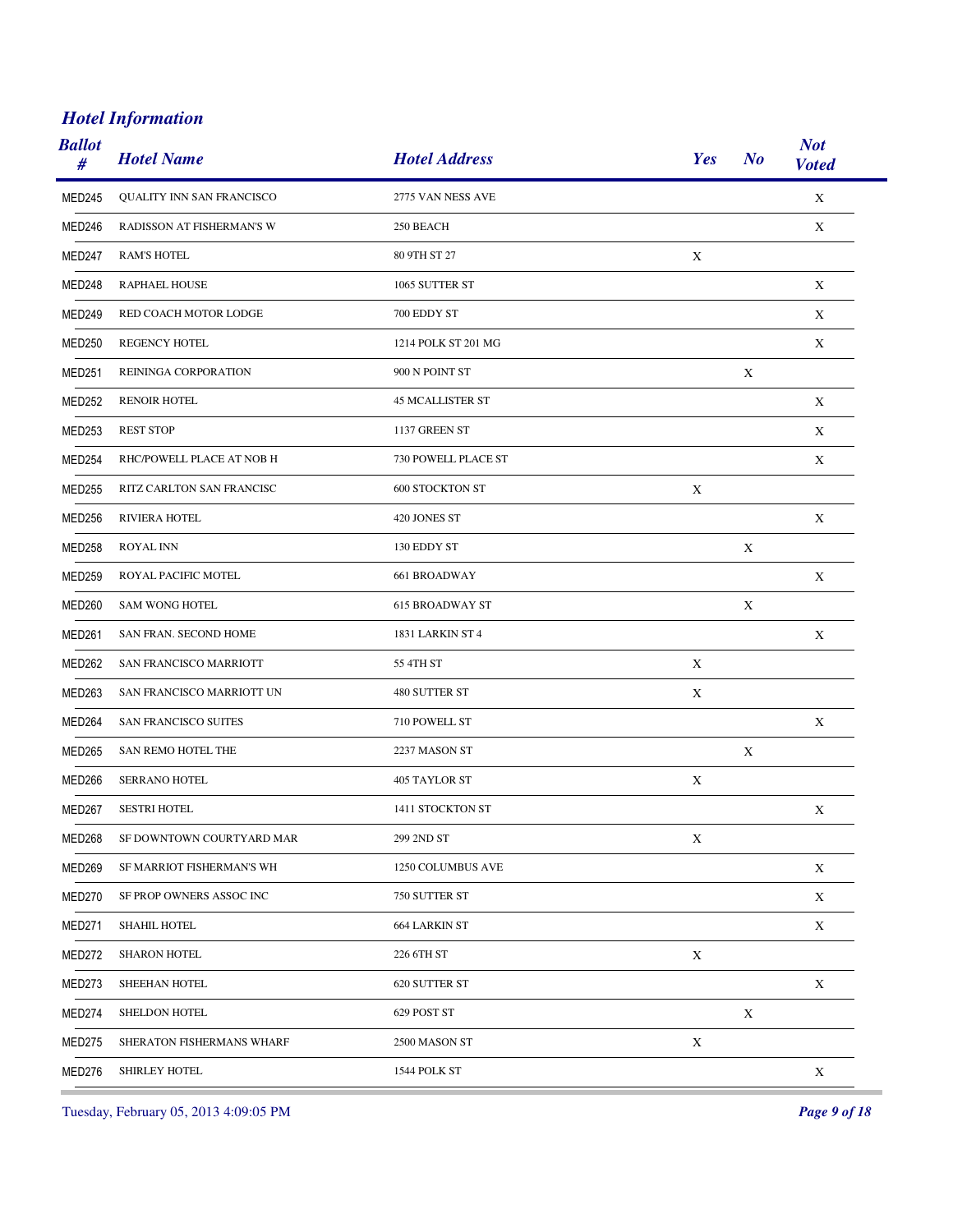| <b>Ballot</b><br># | <b>Hotel Name</b>                | <b>Hotel Address</b>    | Yes         | N <sub>o</sub> | <b>Not</b><br><b>Voted</b> |
|--------------------|----------------------------------|-------------------------|-------------|----------------|----------------------------|
| MED245             | <b>OUALITY INN SAN FRANCISCO</b> | 2775 VAN NESS AVE       |             |                | $\mathbf X$                |
| MED246             | RADISSON AT FISHERMAN'S W        | 250 BEACH               |             |                | X                          |
| MED247             | <b>RAM'S HOTEL</b>               | 80 9TH ST 27            | X           |                |                            |
| MED248             | RAPHAEL HOUSE                    | 1065 SUTTER ST          |             |                | X                          |
| MED249             | RED COACH MOTOR LODGE            | 700 EDDY ST             |             |                | X                          |
| <b>MED250</b>      | REGENCY HOTEL                    | 1214 POLK ST 201 MG     |             |                | $\mathbf X$                |
| MED251             | REININGA CORPORATION             | 900 N POINT ST          |             | $\mathbf X$    |                            |
| <b>MED252</b>      | <b>RENOIR HOTEL</b>              | <b>45 MCALLISTER ST</b> |             |                | X                          |
| MED253             | <b>REST STOP</b>                 | 1137 GREEN ST           |             |                | X                          |
| MED254             | RHC/POWELL PLACE AT NOB H        | 730 POWELL PLACE ST     |             |                | X                          |
| <b>MED255</b>      | RITZ CARLTON SAN FRANCISC        | <b>600 STOCKTON ST</b>  | X           |                |                            |
| MED256             | <b>RIVIERA HOTEL</b>             | 420 JONES ST            |             |                | X                          |
| <b>MED258</b>      | <b>ROYAL INN</b>                 | 130 EDDY ST             |             | X              |                            |
| MED259             | ROYAL PACIFIC MOTEL              | 661 BROADWAY            |             |                | X                          |
| <b>MED260</b>      | <b>SAM WONG HOTEL</b>            | <b>615 BROADWAY ST</b>  |             | $\mathbf X$    |                            |
| MED <sub>261</sub> | SAN FRAN. SECOND HOME            | <b>1831 LARKIN ST 4</b> |             |                | X                          |
| <b>MED262</b>      | SAN FRANCISCO MARRIOTT           | 55 4TH ST               | X           |                |                            |
| MED263             | SAN FRANCISCO MARRIOTT UN        | 480 SUTTER ST           | X           |                |                            |
| MED264             | SAN FRANCISCO SUITES             | 710 POWELL ST           |             |                | X                          |
| <b>MED265</b>      | SAN REMO HOTEL THE               | 2237 MASON ST           |             | X              |                            |
| MED266             | <b>SERRANO HOTEL</b>             | 405 TAYLOR ST           | X           |                |                            |
| MED267             | <b>SESTRI HOTEL</b>              | 1411 STOCKTON ST        |             |                | $\mathbf X$                |
| MED268             | SF DOWNTOWN COURTYARD MAR        | 299 2ND ST              | X           |                |                            |
| <b>MED269</b>      | SF MARRIOT FISHERMAN'S WH        | 1250 COLUMBUS AVE       |             |                | $\mathbf X$                |
| MED270             | SF PROP OWNERS ASSOC INC         | 750 SUTTER ST           |             |                | $\mathbf X$                |
| <b>MED271</b>      | <b>SHAHIL HOTEL</b>              | <b>664 LARKIN ST</b>    |             |                | $\mathbf X$                |
| MED272             | <b>SHARON HOTEL</b>              | 226 6TH ST              | X           |                |                            |
| MED273             | SHEEHAN HOTEL                    | 620 SUTTER ST           |             |                | $\mathbf X$                |
| MED274             | SHELDON HOTEL                    | 629 POST ST             |             | $\mathbf X$    |                            |
| <b>MED275</b>      | SHERATON FISHERMANS WHARF        | 2500 MASON ST           | $\mathbf X$ |                |                            |
| MED276             | SHIRLEY HOTEL                    | 1544 POLK ST            |             |                | X                          |
|                    |                                  |                         |             |                |                            |

Tuesday, February 05, 2013 4:09:05 PM *Page 9 of 18*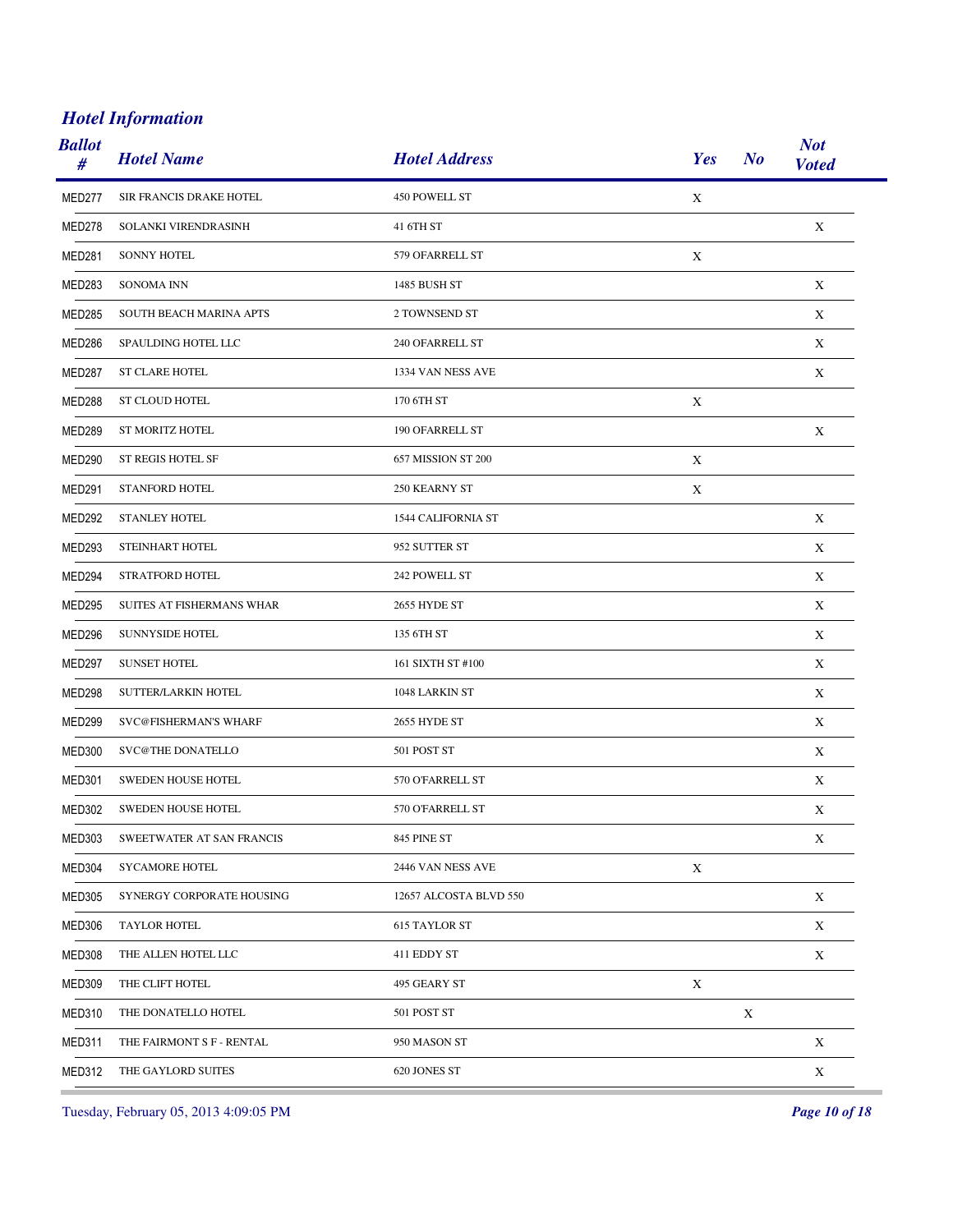| <b>Ballot</b><br># | <b>Hotel Name</b>         | <b>Hotel Address</b>   | Yes         | N <sub>o</sub> | <b>Not</b><br><b>Voted</b> |
|--------------------|---------------------------|------------------------|-------------|----------------|----------------------------|
| MED277             | SIR FRANCIS DRAKE HOTEL   | 450 POWELL ST          | $\mathbf X$ |                |                            |
| MED278             | SOLANKI VIRENDRASINH      | 41 6TH ST              |             |                | X                          |
| <b>MED281</b>      | <b>SONNY HOTEL</b>        | 579 OFARRELL ST        | X           |                |                            |
| <b>MED283</b>      | <b>SONOMA INN</b>         | 1485 BUSH ST           |             |                | X                          |
| <b>MED285</b>      | SOUTH BEACH MARINA APTS   | 2 TOWNSEND ST          |             |                | X                          |
| MED286             | SPAULDING HOTEL LLC       | 240 OFARRELL ST        |             |                | X                          |
| MED287             | <b>ST CLARE HOTEL</b>     | 1334 VAN NESS AVE      |             |                | X                          |
| <b>MED288</b>      | ST CLOUD HOTEL            | 170 6TH ST             | X           |                |                            |
| MED289             | <b>ST MORITZ HOTEL</b>    | 190 OFARRELL ST        |             |                | X                          |
| <b>MED290</b>      | ST REGIS HOTEL SF         | 657 MISSION ST 200     | X           |                |                            |
| MED291             | STANFORD HOTEL            | 250 KEARNY ST          | X           |                |                            |
| <b>MED292</b>      | <b>STANLEY HOTEL</b>      | 1544 CALIFORNIA ST     |             |                | X                          |
| <b>MED293</b>      | STEINHART HOTEL           | 952 SUTTER ST          |             |                | X                          |
| MED294             | STRATFORD HOTEL           | 242 POWELL ST          |             |                | X                          |
| <b>MED295</b>      | SUITES AT FISHERMANS WHAR | 2655 HYDE ST           |             |                | X                          |
| MED296             | <b>SUNNYSIDE HOTEL</b>    | 135 6TH ST             |             |                | X                          |
| <b>MED297</b>      | <b>SUNSET HOTEL</b>       | 161 SIXTH ST #100      |             |                | X                          |
| MED298             | SUTTER/LARKIN HOTEL       | 1048 LARKIN ST         |             |                | X                          |
| <b>MED299</b>      | SVC@FISHERMAN'S WHARF     | 2655 HYDE ST           |             |                | X                          |
| <b>MED300</b>      | SVC@THE DONATELLO         | 501 POST ST            |             |                | X                          |
| MED301             | <b>SWEDEN HOUSE HOTEL</b> | 570 O'FARRELL ST       |             |                | X                          |
| <b>MED302</b>      | SWEDEN HOUSE HOTEL        | 570 O'FARRELL ST       |             |                | X                          |
| MED303             | SWEETWATER AT SAN FRANCIS | 845 PINE ST            |             |                | X                          |
| MED304             | <b>SYCAMORE HOTEL</b>     | 2446 VAN NESS AVE      | $\mathbf X$ |                |                            |
| <b>MED305</b>      | SYNERGY CORPORATE HOUSING | 12657 ALCOSTA BLVD 550 |             |                | X                          |
| <b>MED306</b>      | <b>TAYLOR HOTEL</b>       | <b>615 TAYLOR ST</b>   |             |                | $\mathbf X$                |
| <b>MED308</b>      | THE ALLEN HOTEL LLC       | 411 EDDY ST            |             |                | X                          |
| <b>MED309</b>      | THE CLIFT HOTEL           | 495 GEARY ST           | $\mathbf X$ |                |                            |
| MED310             | THE DONATELLO HOTEL       | 501 POST ST            |             | $\mathbf X$    |                            |
| MED311             | THE FAIRMONT S F - RENTAL | 950 MASON ST           |             |                | $\mathbf X$                |
| MED312             | THE GAYLORD SUITES        | 620 JONES ST           |             |                | $\mathbf X$                |

Tuesday, February 05, 2013 4:09:05 PM *Page 10 of 18*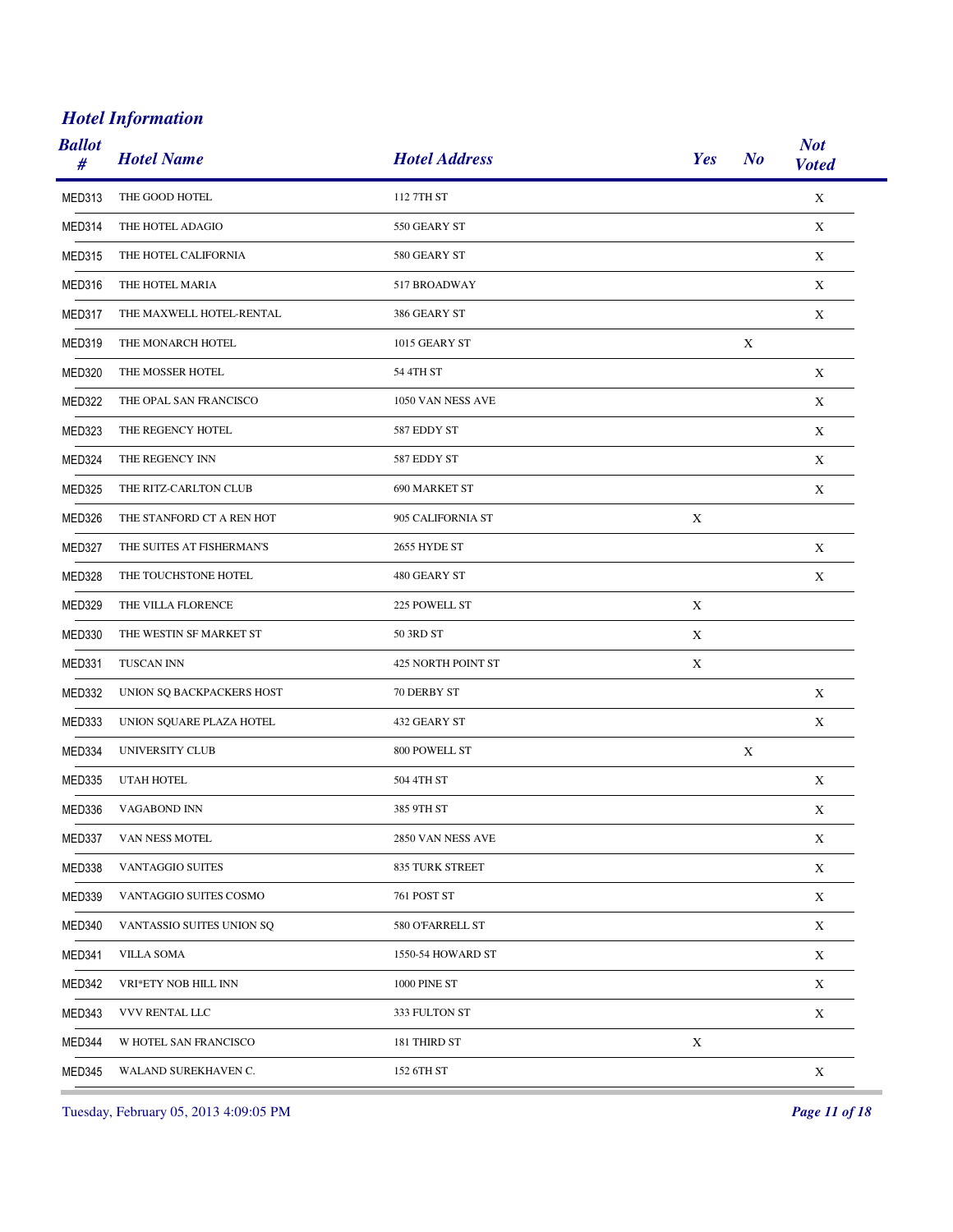| <b>Ballot</b><br># | <b>Hotel Name</b>         | <b>Hotel Address</b> | Yes         | N <sub>o</sub> | <b>Not</b><br><b>Voted</b> |
|--------------------|---------------------------|----------------------|-------------|----------------|----------------------------|
| MED313             | THE GOOD HOTEL            | 112 7TH ST           |             |                | $\mathbf X$                |
| MED314             | THE HOTEL ADAGIO          | 550 GEARY ST         |             |                | X                          |
| <b>MED315</b>      | THE HOTEL CALIFORNIA      | 580 GEARY ST         |             |                | $\mathbf X$                |
| MED316             | THE HOTEL MARIA           | 517 BROADWAY         |             |                | X                          |
| MED317             | THE MAXWELL HOTEL-RENTAL  | 386 GEARY ST         |             |                | $\mathbf X$                |
| MED319             | THE MONARCH HOTEL         | 1015 GEARY ST        |             | X              |                            |
| MED320             | THE MOSSER HOTEL          | 54 4TH ST            |             |                | $\mathbf X$                |
| MED322             | THE OPAL SAN FRANCISCO    | 1050 VAN NESS AVE    |             |                | X                          |
| MED323             | THE REGENCY HOTEL         | 587 EDDY ST          |             |                | X                          |
| MED324             | THE REGENCY INN           | 587 EDDY ST          |             |                | X                          |
| <b>MED325</b>      | THE RITZ-CARLTON CLUB     | 690 MARKET ST        |             |                | X                          |
| MED326             | THE STANFORD CT A REN HOT | 905 CALIFORNIA ST    | X           |                |                            |
| <b>MED327</b>      | THE SUITES AT FISHERMAN'S | 2655 HYDE ST         |             |                | X                          |
| MED328             | THE TOUCHSTONE HOTEL      | 480 GEARY ST         |             |                | X                          |
| <b>MED329</b>      | THE VILLA FLORENCE        | 225 POWELL ST        | X           |                |                            |
| MED330             | THE WESTIN SF MARKET ST   | 50 3RD ST            | X           |                |                            |
| MED331             | TUSCAN INN                | 425 NORTH POINT ST   | X           |                |                            |
| MED332             | UNION SQ BACKPACKERS HOST | 70 DERBY ST          |             |                | X                          |
| MED333             | UNION SQUARE PLAZA HOTEL  | 432 GEARY ST         |             |                | X                          |
| MED334             | UNIVERSITY CLUB           | 800 POWELL ST        |             | X              |                            |
| MED335             | UTAH HOTEL                | 504 4TH ST           |             |                | X                          |
| MED336             | VAGABOND INN              | 385 9TH ST           |             |                | $\mathbf X$                |
| MED337             | VAN NESS MOTEL            | 2850 VAN NESS AVE    |             |                | X                          |
| MED338             | VANTAGGIO SUITES          | 835 TURK STREET      |             |                | $\mathbf X$                |
| MED339             | VANTAGGIO SUITES COSMO    | 761 POST ST          |             |                | $\mathbf X$                |
| MED340             | VANTASSIO SUITES UNION SQ | 580 O'FARRELL ST     |             |                | X                          |
| MED341             | <b>VILLA SOMA</b>         | 1550-54 HOWARD ST    |             |                | X                          |
| MED342             | VRI*ETY NOB HILL INN      | 1000 PINE ST         |             |                | X                          |
| MED343             | VVV RENTAL LLC            | 333 FULTON ST        |             |                | $\mathbf X$                |
| MED344             | W HOTEL SAN FRANCISCO     | 181 THIRD ST         | $\mathbf X$ |                |                            |
| MED345             | WALAND SUREKHAVEN C.      | 152 6TH ST           |             |                | $\mathbf X$                |

Tuesday, February 05, 2013 4:09:05 PM *Page 11 of 18*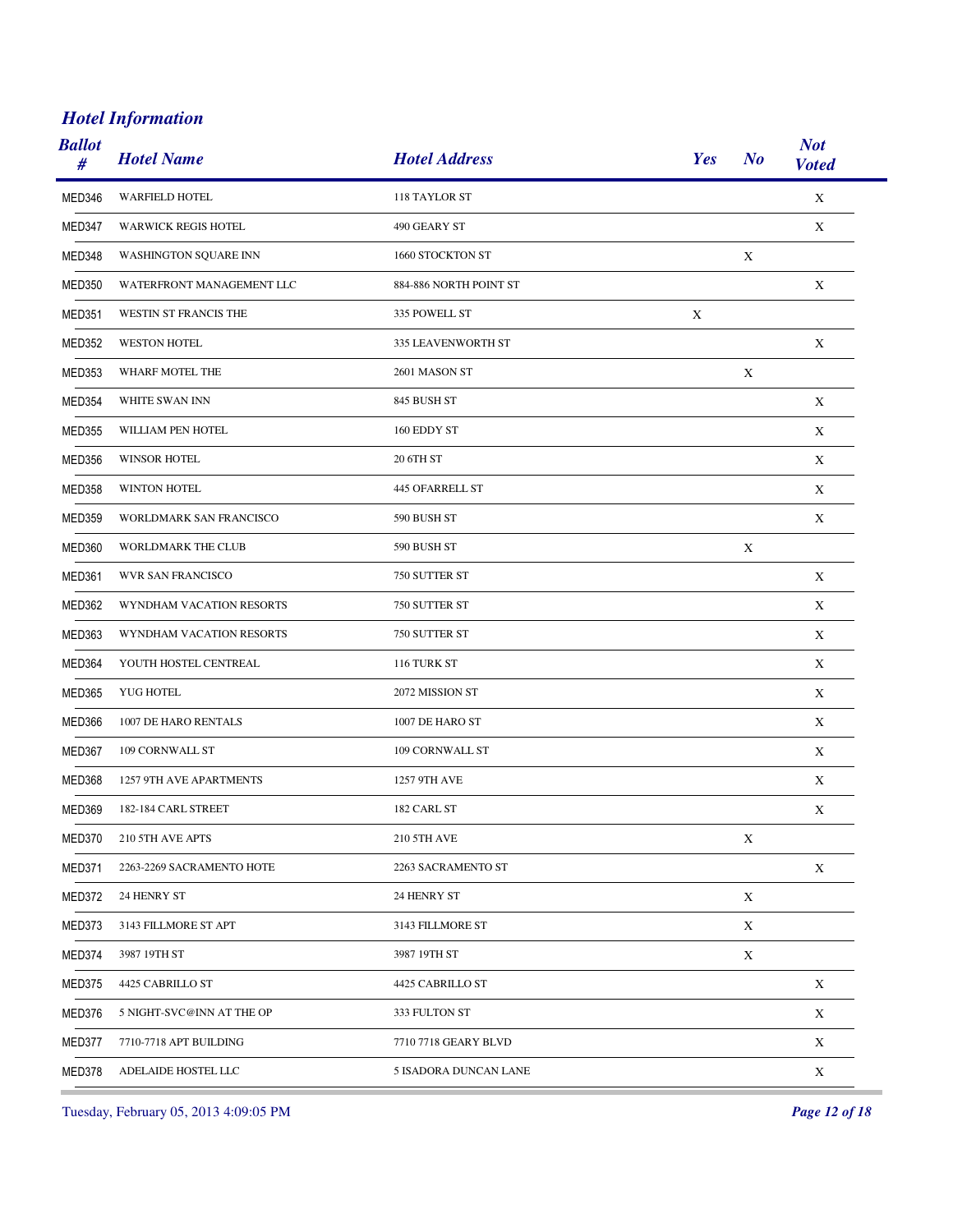| <b>Ballot</b><br># | <b>Hotel Name</b>          | <b>Hotel Address</b>   | Yes | N <sub>o</sub>            | <b>Not</b><br><b>Voted</b> |
|--------------------|----------------------------|------------------------|-----|---------------------------|----------------------------|
| MED346             | <b>WARFIELD HOTEL</b>      | 118 TAYLOR ST          |     |                           | $\mathbf X$                |
| MED347             | <b>WARWICK REGIS HOTEL</b> | 490 GEARY ST           |     |                           | X                          |
| MED348             | WASHINGTON SQUARE INN      | 1660 STOCKTON ST       |     | X                         |                            |
| MED350             | WATERFRONT MANAGEMENT LLC  | 884-886 NORTH POINT ST |     |                           | X                          |
| MED351             | WESTIN ST FRANCIS THE      | 335 POWELL ST          | X   |                           |                            |
| <b>MED352</b>      | <b>WESTON HOTEL</b>        | 335 LEAVENWORTH ST     |     |                           | X                          |
| <b>MED353</b>      | WHARF MOTEL THE            | 2601 MASON ST          |     | $\boldsymbol{\mathrm{X}}$ |                            |
| <b>MED354</b>      | WHITE SWAN INN             | 845 BUSH ST            |     |                           | X                          |
| <b>MED355</b>      | WILLIAM PEN HOTEL          | 160 EDDY ST            |     |                           | X                          |
| <b>MED356</b>      | <b>WINSOR HOTEL</b>        | 20 6TH ST              |     |                           | X                          |
| <b>MED358</b>      | WINTON HOTEL               | 445 OFARRELL ST        |     |                           | X                          |
| <b>MED359</b>      | WORLDMARK SAN FRANCISCO    | 590 BUSH ST            |     |                           | $\mathbf X$                |
| MED360             | WORLDMARK THE CLUB         | 590 BUSH ST            |     | X                         |                            |
| MED361             | WVR SAN FRANCISCO          | 750 SUTTER ST          |     |                           | $\mathbf X$                |
| MED362             | WYNDHAM VACATION RESORTS   | 750 SUTTER ST          |     |                           | X                          |
| MED363             | WYNDHAM VACATION RESORTS   | 750 SUTTER ST          |     |                           | X                          |
| MED364             | YOUTH HOSTEL CENTREAL      | 116 TURK ST            |     |                           | X                          |
| <b>MED365</b>      | YUG HOTEL                  | 2072 MISSION ST        |     |                           | X                          |
| MED366             | 1007 DE HARO RENTALS       | 1007 DE HARO ST        |     |                           | X                          |
| MED367             | 109 CORNWALL ST            | 109 CORNWALL ST        |     |                           | X                          |
| MED368             | 1257 9TH AVE APARTMENTS    | 1257 9TH AVE           |     |                           | X                          |
| <b>MED369</b>      | 182-184 CARL STREET        | 182 CARL ST            |     |                           | $\mathbf X$                |
| MED370             | 210 5TH AVE APTS           | 210 5TH AVE            |     | X                         |                            |
| MED371             | 2263-2269 SACRAMENTO HOTE  | 2263 SACRAMENTO ST     |     |                           | $\mathbf X$                |
| MED372             | 24 HENRY ST                | 24 HENRY ST            |     | X                         |                            |
| MED373             | 3143 FILLMORE ST APT       | 3143 FILLMORE ST       |     | X                         |                            |
| MED374             | 3987 19TH ST               | 3987 19TH ST           |     | X                         |                            |
| MED375             | 4425 CABRILLO ST           | 4425 CABRILLO ST       |     |                           | $\mathbf X$                |
| MED376             | 5 NIGHT-SVC@INN AT THE OP  | 333 FULTON ST          |     |                           | $\mathbf X$                |
| MED377             | 7710-7718 APT BUILDING     | 7710 7718 GEARY BLVD   |     |                           | $\mathbf X$                |
| MED378             | ADELAIDE HOSTEL LLC        | 5 ISADORA DUNCAN LANE  |     |                           | $\mathbf X$                |

Tuesday, February 05, 2013 4:09:05 PM *Page 12 of 18*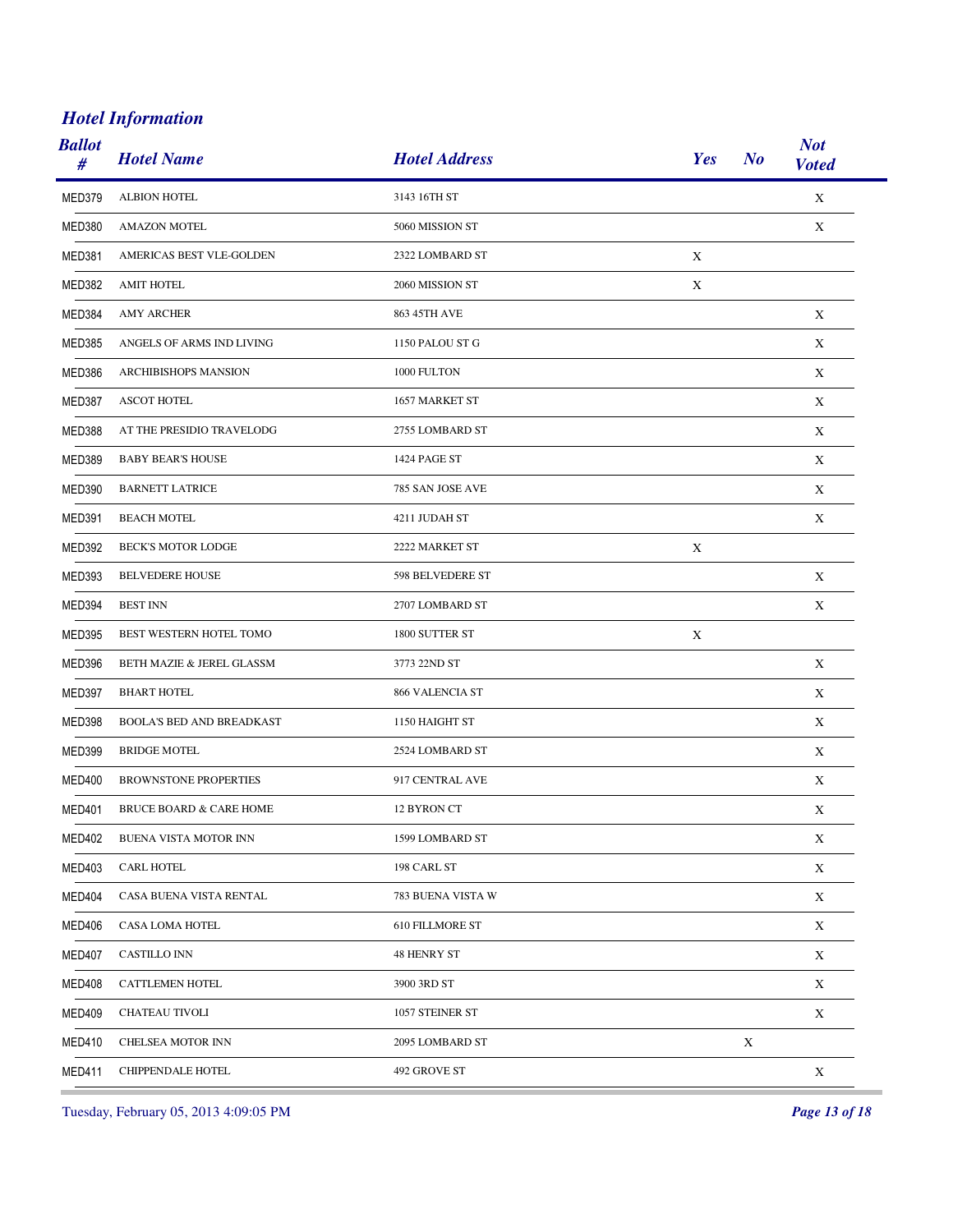| <b>Ballot</b><br># | <b>Hotel Name</b>                | <b>Hotel Address</b>   | Yes         | N <sub>o</sub> | <b>Not</b><br><b>Voted</b> |
|--------------------|----------------------------------|------------------------|-------------|----------------|----------------------------|
| MED379             | <b>ALBION HOTEL</b>              | 3143 16TH ST           |             |                | $\mathbf X$                |
| MED380             | <b>AMAZON MOTEL</b>              | 5060 MISSION ST        |             |                | X                          |
| MED381             | AMERICAS BEST VLE-GOLDEN         | 2322 LOMBARD ST        | X           |                |                            |
| MED382             | <b>AMIT HOTEL</b>                | 2060 MISSION ST        | X           |                |                            |
| MED384             | <b>AMY ARCHER</b>                | 863 45TH AVE           |             |                | $\mathbf X$                |
| MED385             | ANGELS OF ARMS IND LIVING        | 1150 PALOU ST G        |             |                | X                          |
| MED386             | <b>ARCHIBISHOPS MANSION</b>      | 1000 FULTON            |             |                | X                          |
| MED387             | <b>ASCOT HOTEL</b>               | 1657 MARKET ST         |             |                | X                          |
| MED388             | AT THE PRESIDIO TRAVELODG        | 2755 LOMBARD ST        |             |                | $\mathbf X$                |
| <b>MED389</b>      | <b>BABY BEAR'S HOUSE</b>         | 1424 PAGE ST           |             |                | X                          |
| MED390             | <b>BARNETT LATRICE</b>           | 785 SAN JOSE AVE       |             |                | $\mathbf X$                |
| <b>MED391</b>      | <b>BEACH MOTEL</b>               | 4211 JUDAH ST          |             |                | $\mathbf X$                |
| MED392             | <b>BECK'S MOTOR LODGE</b>        | 2222 MARKET ST         | $\mathbf X$ |                |                            |
| MED393             | <b>BELVEDERE HOUSE</b>           | 598 BELVEDERE ST       |             |                | $\mathbf X$                |
| MED394             | <b>BEST INN</b>                  | 2707 LOMBARD ST        |             |                | $\mathbf X$                |
| MED395             | BEST WESTERN HOTEL TOMO          | 1800 SUTTER ST         | X           |                |                            |
| MED396             | BETH MAZIE & JEREL GLASSM        | 3773 22ND ST           |             |                | $\mathbf X$                |
| MED397             | <b>BHART HOTEL</b>               | 866 VALENCIA ST        |             |                | X                          |
| MED398             | <b>BOOLA'S BED AND BREADKAST</b> | 1150 HAIGHT ST         |             |                | X                          |
| <b>MED399</b>      | <b>BRIDGE MOTEL</b>              | 2524 LOMBARD ST        |             |                | $\mathbf X$                |
| MED400             | <b>BROWNSTONE PROPERTIES</b>     | 917 CENTRAL AVE        |             |                | X                          |
| <b>MED401</b>      | BRUCE BOARD & CARE HOME          | 12 BYRON CT            |             |                | X                          |
| <b>MED402</b>      | BUENA VISTA MOTOR INN            | 1599 LOMBARD ST        |             |                | X                          |
| <b>MED403</b>      | <b>CARL HOTEL</b>                | 198 CARL ST            |             |                | $\mathbf X$                |
| MED404             | CASA BUENA VISTA RENTAL          | 783 BUENA VISTA W      |             |                | $\mathbf X$                |
| <b>MED406</b>      | CASA LOMA HOTEL                  | <b>610 FILLMORE ST</b> |             |                | $\mathbf X$                |
| MED407             | <b>CASTILLO INN</b>              | 48 HENRY ST            |             |                | X                          |
| MED408             | CATTLEMEN HOTEL                  | 3900 3RD ST            |             |                | $\mathbf X$                |
| <b>MED409</b>      | CHATEAU TIVOLI                   | 1057 STEINER ST        |             |                | $\mathbf X$                |
| MED410             | CHELSEA MOTOR INN                | 2095 LOMBARD ST        |             | $\mathbf X$    |                            |
| MED411             | CHIPPENDALE HOTEL                | 492 GROVE ST           |             |                | X                          |
|                    |                                  |                        |             |                |                            |

Tuesday, February 05, 2013 4:09:05 PM *Page 13 of 18*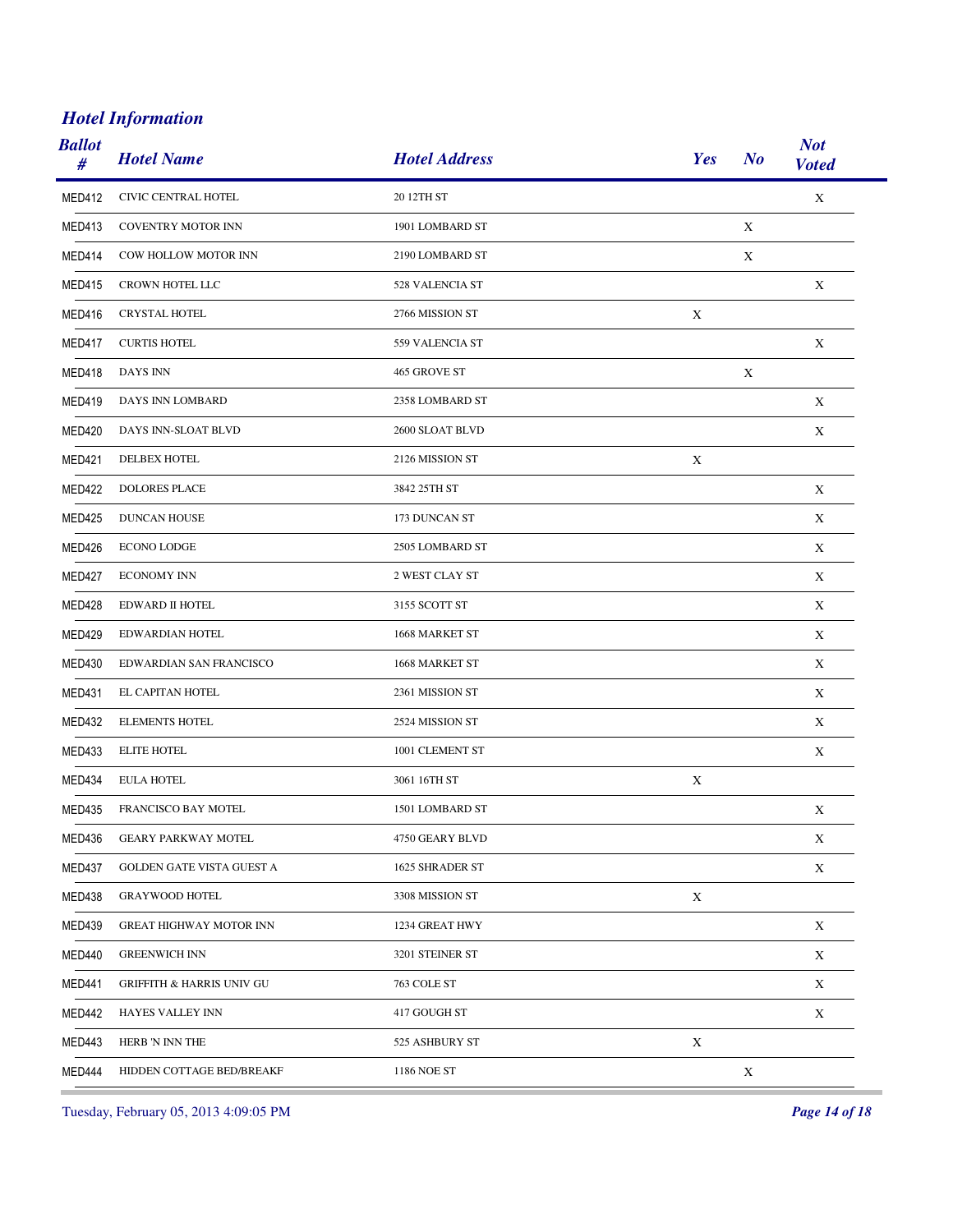| <b>Ballot</b><br># | <b>Hotel Name</b>                    | <b>Hotel Address</b> | Yes         | N <sub>o</sub> | <b>Not</b><br><b>Voted</b> |
|--------------------|--------------------------------------|----------------------|-------------|----------------|----------------------------|
| MED412             | CIVIC CENTRAL HOTEL                  | 20 12TH ST           |             |                | $\mathbf X$                |
| MED413             | <b>COVENTRY MOTOR INN</b>            | 1901 LOMBARD ST      |             | X              |                            |
| MED414             | COW HOLLOW MOTOR INN                 | 2190 LOMBARD ST      |             | $\mathbf X$    |                            |
| MED415             | CROWN HOTEL LLC                      | 528 VALENCIA ST      |             |                | X                          |
| MED416             | <b>CRYSTAL HOTEL</b>                 | 2766 MISSION ST      | $\mathbf X$ |                |                            |
| MED417             | <b>CURTIS HOTEL</b>                  | 559 VALENCIA ST      |             |                | X                          |
| MED418             | DAYS INN                             | 465 GROVE ST         |             | $\mathbf X$    |                            |
| MED419             | DAYS INN LOMBARD                     | 2358 LOMBARD ST      |             |                | X                          |
| MED420             | DAYS INN-SLOAT BLVD                  | 2600 SLOAT BLVD      |             |                | $\mathbf X$                |
| <b>MED421</b>      | DELBEX HOTEL                         | 2126 MISSION ST      | X           |                |                            |
| MED422             | <b>DOLORES PLACE</b>                 | 3842 25TH ST         |             |                | X                          |
| <b>MED425</b>      | <b>DUNCAN HOUSE</b>                  | 173 DUNCAN ST        |             |                | X                          |
| MED426             | <b>ECONO LODGE</b>                   | 2505 LOMBARD ST      |             |                | X                          |
| MED427             | <b>ECONOMY INN</b>                   | 2 WEST CLAY ST       |             |                | $\mathbf X$                |
| MED428             | EDWARD II HOTEL                      | 3155 SCOTT ST        |             |                | X                          |
| MED429             | EDWARDIAN HOTEL                      | 1668 MARKET ST       |             |                | X                          |
| <b>MED430</b>      | EDWARDIAN SAN FRANCISCO              | 1668 MARKET ST       |             |                | X                          |
| MED431             | EL CAPITAN HOTEL                     | 2361 MISSION ST      |             |                | X                          |
| MED432             | <b>ELEMENTS HOTEL</b>                | 2524 MISSION ST      |             |                | X                          |
| <b>MED433</b>      | <b>ELITE HOTEL</b>                   | 1001 CLEMENT ST      |             |                | $\mathbf X$                |
| MED434             | <b>EULA HOTEL</b>                    | 3061 16TH ST         | X           |                |                            |
| <b>MED435</b>      | FRANCISCO BAY MOTEL                  | 1501 LOMBARD ST      |             |                | $\mathbf X$                |
| MED436             | <b>GEARY PARKWAY MOTEL</b>           | 4750 GEARY BLVD      |             |                | X                          |
| MED437             | GOLDEN GATE VISTA GUEST A            | 1625 SHRADER ST      |             |                | $\mathbf X$                |
| MED438             | <b>GRAYWOOD HOTEL</b>                | 3308 MISSION ST      | X           |                |                            |
| <b>MED439</b>      | <b>GREAT HIGHWAY MOTOR INN</b>       | 1234 GREAT HWY       |             |                | $\mathbf X$                |
| MED440             | <b>GREENWICH INN</b>                 | 3201 STEINER ST      |             |                | X                          |
| <b>MED441</b>      | <b>GRIFFITH &amp; HARRIS UNIV GU</b> | 763 COLE ST          |             |                | $\mathbf X$                |
| MED442             | HAYES VALLEY INN                     | 417 GOUGH ST         |             |                | $\mathbf X$                |
| MED443             | HERB 'N INN THE                      | 525 ASHBURY ST       | $\mathbf X$ |                |                            |
| MED444             | HIDDEN COTTAGE BED/BREAKF            | 1186 NOE ST          |             | $\mathbf X$    |                            |

Tuesday, February 05, 2013 4:09:05 PM *Page 14 of 18*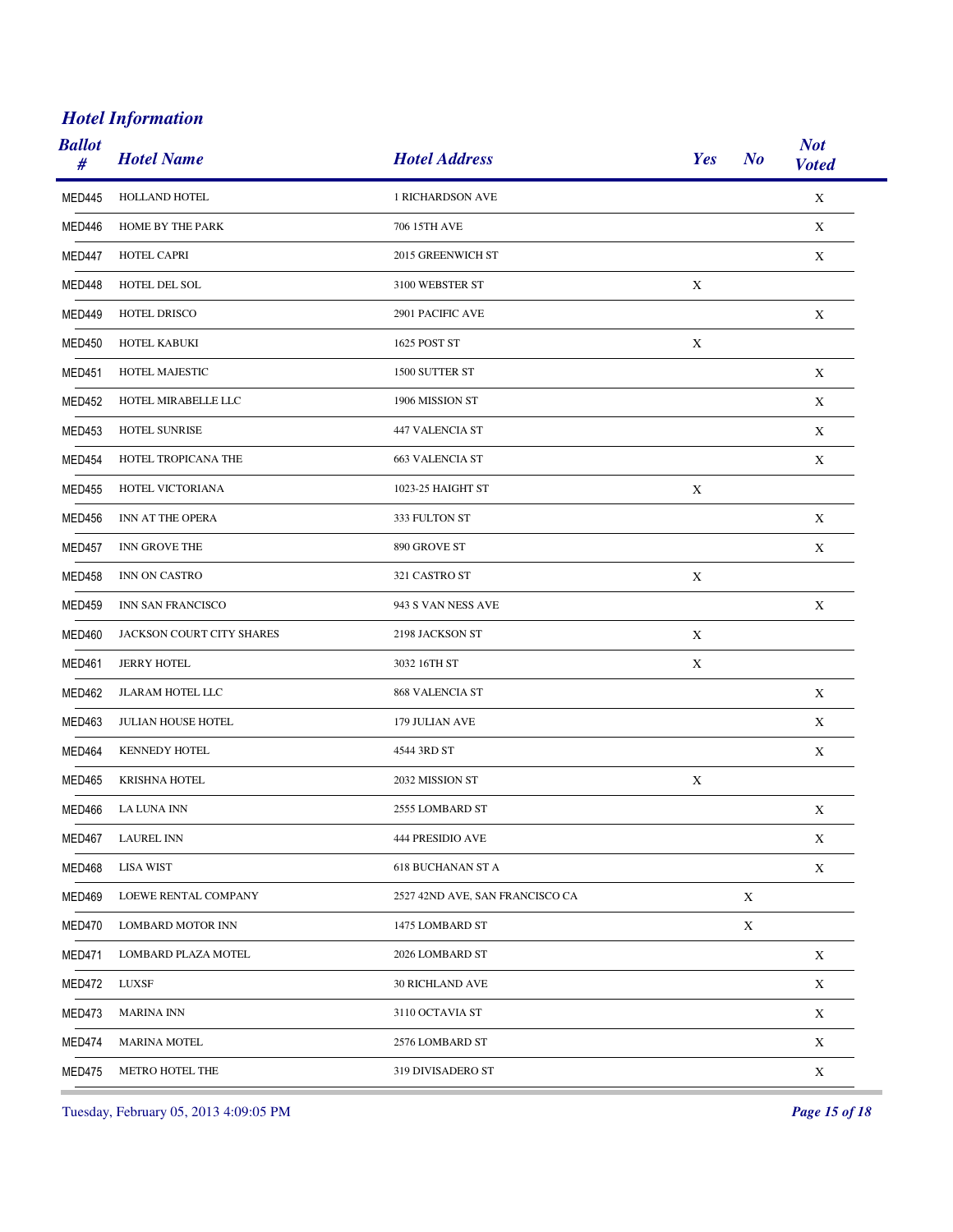| <b>Ballot</b><br># | <b>Hotel Name</b>         | <b>Hotel Address</b>            | Yes<br>N <sub>o</sub> | <b>Not</b><br><b>Voted</b> |
|--------------------|---------------------------|---------------------------------|-----------------------|----------------------------|
| <b>MED445</b>      | HOLLAND HOTEL             | <b>1 RICHARDSON AVE</b>         |                       | $\mathbf X$                |
| MED446             | HOME BY THE PARK          | 706 15TH AVE                    |                       | X                          |
| MED447             | HOTEL CAPRI               | 2015 GREENWICH ST               |                       | $\mathbf X$                |
| MED448             | HOTEL DEL SOL             | 3100 WEBSTER ST                 | X                     |                            |
| MED449             | HOTEL DRISCO              | 2901 PACIFIC AVE                |                       | $\mathbf X$                |
| MED450             | HOTEL KABUKI              | 1625 POST ST                    | X                     |                            |
| <b>MED451</b>      | HOTEL MAJESTIC            | 1500 SUTTER ST                  |                       | $\mathbf X$                |
| MED452             | HOTEL MIRABELLE LLC       | 1906 MISSION ST                 |                       | X                          |
| <b>MED453</b>      | HOTEL SUNRISE             | 447 VALENCIA ST                 |                       | $\mathbf X$                |
| <b>MED454</b>      | HOTEL TROPICANA THE       | <b>663 VALENCIA ST</b>          |                       | X                          |
| <b>MED455</b>      | HOTEL VICTORIANA          | 1023-25 HAIGHT ST               | X                     |                            |
| MED456             | INN AT THE OPERA          | 333 FULTON ST                   |                       | X                          |
| <b>MED457</b>      | INN GROVE THE             | 890 GROVE ST                    |                       | X                          |
| MED458             | INN ON CASTRO             | 321 CASTRO ST                   | $\mathbf X$           |                            |
| <b>MED459</b>      | INN SAN FRANCISCO         | 943 S VAN NESS AVE              |                       | X                          |
| MED460             | JACKSON COURT CITY SHARES | 2198 JACKSON ST                 | X                     |                            |
| <b>MED461</b>      | <b>JERRY HOTEL</b>        | 3032 16TH ST                    | X                     |                            |
| MED462             | JLARAM HOTEL LLC          | 868 VALENCIA ST                 |                       | X                          |
| MED463             | JULIAN HOUSE HOTEL        | 179 JULIAN AVE                  |                       | X                          |
| MED464             | <b>KENNEDY HOTEL</b>      | 4544 3RD ST                     |                       | $\mathbf X$                |
| MED465             | KRISHNA HOTEL             | 2032 MISSION ST                 | $\mathbf X$           |                            |
| MED466             | LA LUNA INN               | 2555 LOMBARD ST                 |                       | $\mathbf X$                |
| MED467             | <b>LAUREL INN</b>         | 444 PRESIDIO AVE                |                       | X                          |
| MED468             | <b>LISA WIST</b>          | <b>618 BUCHANAN ST A</b>        |                       | $\mathbf X$                |
| <b>MED469</b>      | LOEWE RENTAL COMPANY      | 2527 42ND AVE, SAN FRANCISCO CA | X                     |                            |
| MED470             | <b>LOMBARD MOTOR INN</b>  | 1475 LOMBARD ST                 | X                     |                            |
| <b>MED471</b>      | LOMBARD PLAZA MOTEL       | 2026 LOMBARD ST                 |                       | X                          |
| MED472             | LUXSF                     | <b>30 RICHLAND AVE</b>          |                       | X                          |
| MED473             | <b>MARINA INN</b>         | 3110 OCTAVIA ST                 |                       | $\mathbf X$                |
| MED474             | <b>MARINA MOTEL</b>       | 2576 LOMBARD ST                 |                       | $\mathbf X$                |
| MED475             | METRO HOTEL THE           | 319 DIVISADERO ST               |                       | $\mathbf X$                |

Tuesday, February 05, 2013 4:09:05 PM *Page 15 of 18*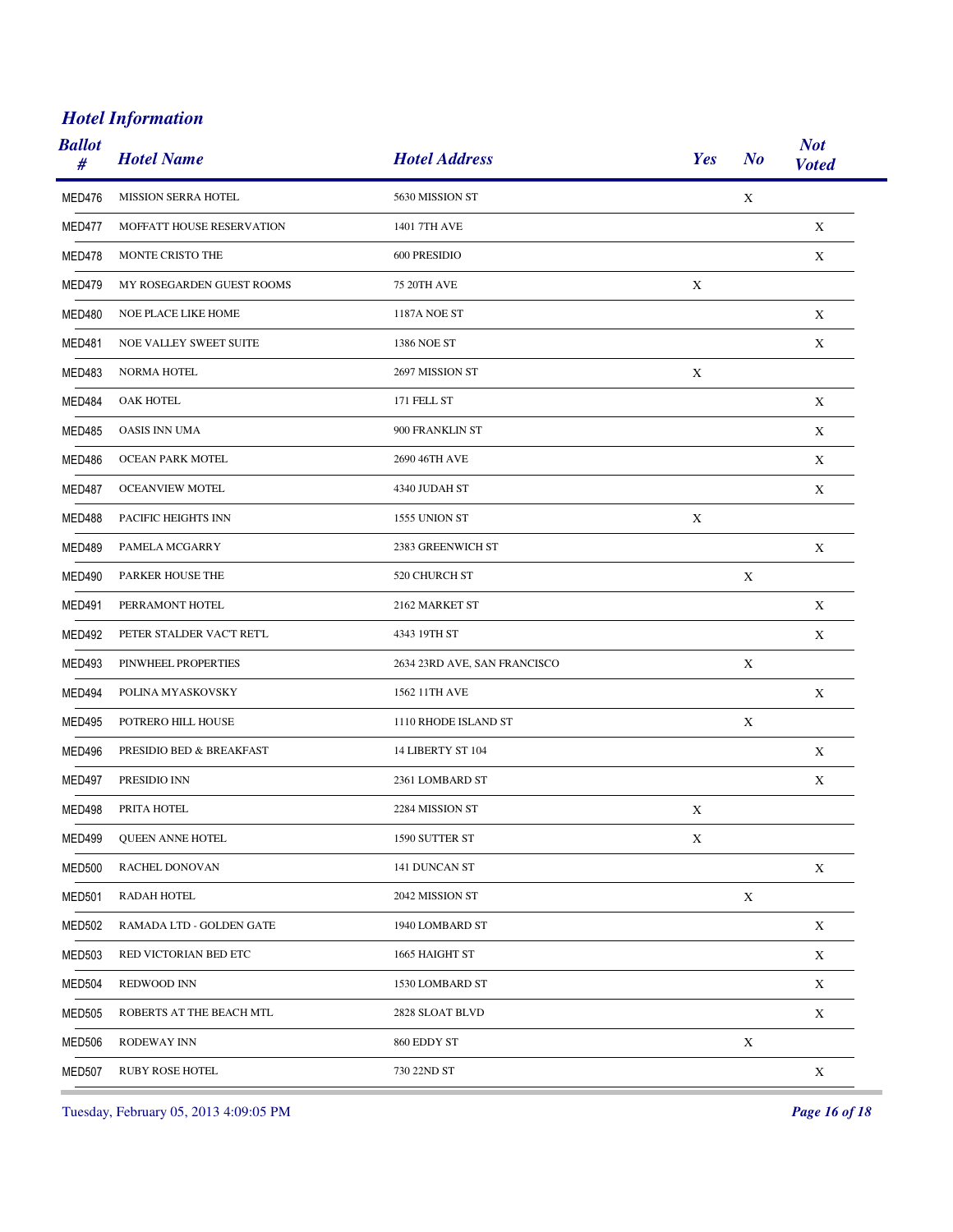| <b>Ballot</b><br># | <b>Hotel Name</b>          | <b>Hotel Address</b>         | Yes         | N <sub>o</sub> | <b>Not</b><br><b>Voted</b> |
|--------------------|----------------------------|------------------------------|-------------|----------------|----------------------------|
| MED476             | <b>MISSION SERRA HOTEL</b> | 5630 MISSION ST              |             | $\mathbf X$    |                            |
| MED477             | MOFFATT HOUSE RESERVATION  | 1401 7TH AVE                 |             |                | X                          |
| MED478             | MONTE CRISTO THE           | 600 PRESIDIO                 |             |                | $\mathbf X$                |
| MED479             | MY ROSEGARDEN GUEST ROOMS  | <b>75 20TH AVE</b>           | X           |                |                            |
| <b>MED480</b>      | NOE PLACE LIKE HOME        | <b>1187A NOE ST</b>          |             |                | X                          |
| MED481             | NOE VALLEY SWEET SUITE     | 1386 NOE ST                  |             |                | $\mathbf X$                |
| MED483             | <b>NORMA HOTEL</b>         | 2697 MISSION ST              | $\mathbf X$ |                |                            |
| MED484             | OAK HOTEL                  | 171 FELL ST                  |             |                | X                          |
| <b>MED485</b>      | <b>OASIS INN UMA</b>       | 900 FRANKLIN ST              |             |                | X                          |
| MED486             | OCEAN PARK MOTEL           | 2690 46TH AVE                |             |                | X                          |
| MED487             | <b>OCEANVIEW MOTEL</b>     | 4340 JUDAH ST                |             |                | X                          |
| MED488             | PACIFIC HEIGHTS INN        | 1555 UNION ST                | X           |                |                            |
| MED489             | PAMELA MCGARRY             | 2383 GREENWICH ST            |             |                | $\mathbf X$                |
| <b>MED490</b>      | PARKER HOUSE THE           | 520 CHURCH ST                |             | $\mathbf X$    |                            |
| <b>MED491</b>      | PERRAMONT HOTEL            | 2162 MARKET ST               |             |                | X                          |
| <b>MED492</b>      | PETER STALDER VAC'T RET'L  | 4343 19TH ST                 |             |                | X                          |
| <b>MED493</b>      | PINWHEEL PROPERTIES        | 2634 23RD AVE, SAN FRANCISCO |             | X              |                            |
| MED494             | POLINA MYASKOVSKY          | 1562 11TH AVE                |             |                | X                          |
| <b>MED495</b>      | POTRERO HILL HOUSE         | 1110 RHODE ISLAND ST         |             | X              |                            |
| <b>MED496</b>      | PRESIDIO BED & BREAKFAST   | 14 LIBERTY ST 104            |             |                | X                          |
| <b>MED497</b>      | PRESIDIO INN               | 2361 LOMBARD ST              |             |                | X                          |
| <b>MED498</b>      | PRITA HOTEL                | 2284 MISSION ST              | $\mathbf X$ |                |                            |
| <b>MED499</b>      | QUEEN ANNE HOTEL           | 1590 SUTTER ST               | X           |                |                            |
| <b>MED500</b>      | RACHEL DONOVAN             | 141 DUNCAN ST                |             |                | $\mathbf X$                |
| <b>MED501</b>      | <b>RADAH HOTEL</b>         | 2042 MISSION ST              |             | X              |                            |
| <b>MED502</b>      | RAMADA LTD - GOLDEN GATE   | 1940 LOMBARD ST              |             |                | $\mathbf X$                |
| <b>MED503</b>      | RED VICTORIAN BED ETC      | 1665 HAIGHT ST               |             |                | X                          |
| <b>MED504</b>      | REDWOOD INN                | 1530 LOMBARD ST              |             |                | $\mathbf X$                |
| MED505             | ROBERTS AT THE BEACH MTL   | 2828 SLOAT BLVD              |             |                | $\mathbf X$                |
| <b>MED506</b>      | RODEWAY INN                | 860 EDDY ST                  |             | $\mathbf X$    |                            |
| <b>MED507</b>      | RUBY ROSE HOTEL            | 730 22ND ST                  |             |                | $\mathbf X$                |

Tuesday, February 05, 2013 4:09:05 PM *Page 16 of 18*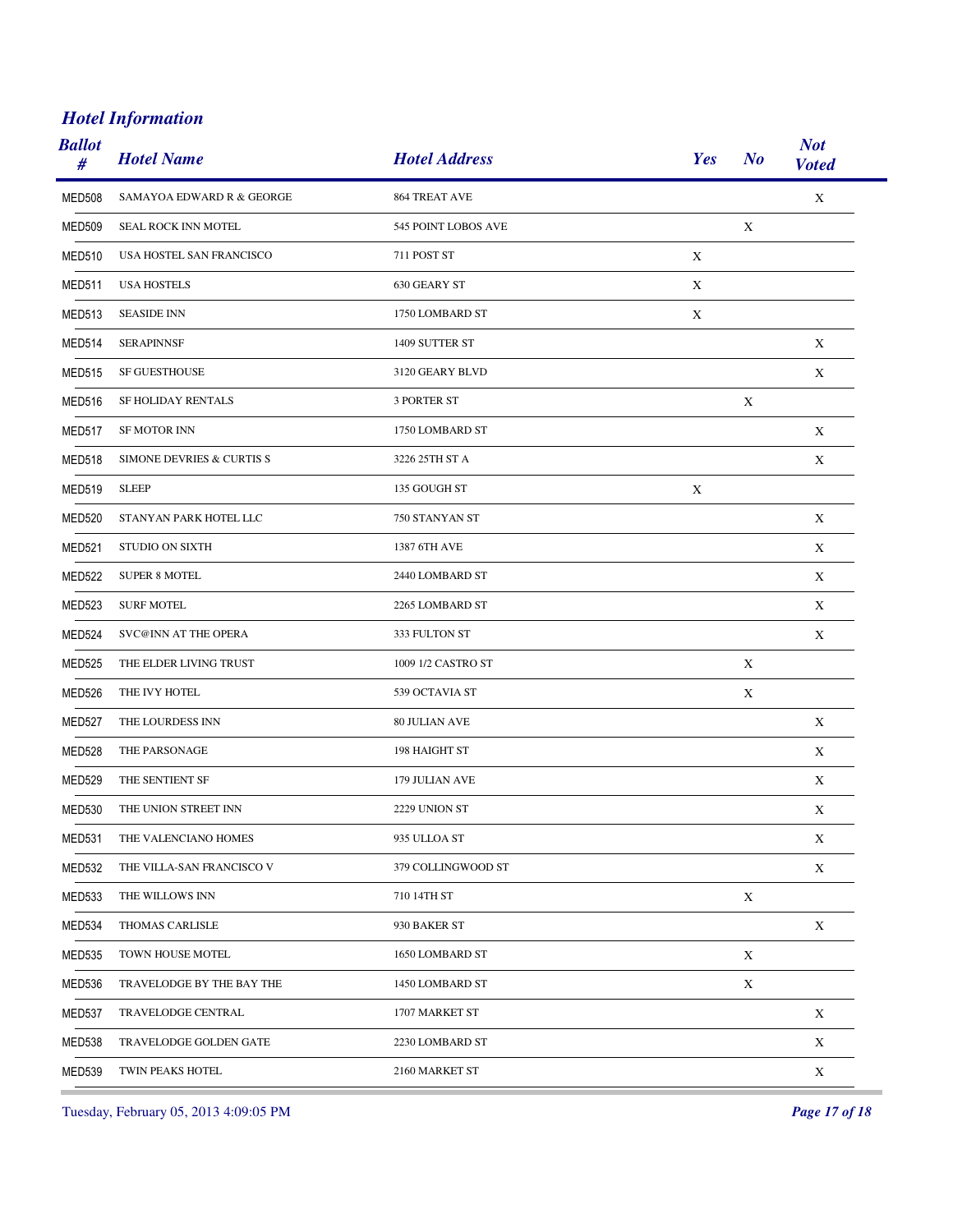| <b>Ballot</b><br># | <b>Hotel Name</b>                    | <b>Hotel Address</b> | Yes | N <sub>o</sub> | <b>Not</b><br><b>Voted</b> |
|--------------------|--------------------------------------|----------------------|-----|----------------|----------------------------|
| <b>MED508</b>      | <b>SAMAYOA EDWARD R &amp; GEORGE</b> | 864 TREAT AVE        |     |                | $\mathbf X$                |
| MED509             | <b>SEAL ROCK INN MOTEL</b>           | 545 POINT LOBOS AVE  |     | X              |                            |
| <b>MED510</b>      | USA HOSTEL SAN FRANCISCO             | 711 POST ST          | X   |                |                            |
| MED511             | <b>USA HOSTELS</b>                   | 630 GEARY ST         | X   |                |                            |
| MED513             | <b>SEASIDE INN</b>                   | 1750 LOMBARD ST      | X   |                |                            |
| MED514             | <b>SERAPINNSF</b>                    | 1409 SUTTER ST       |     |                | X                          |
| MED515             | <b>SF GUESTHOUSE</b>                 | 3120 GEARY BLVD      |     |                | X                          |
| MED516             | SF HOLIDAY RENTALS                   | <b>3 PORTER ST</b>   |     | X              |                            |
| MED517             | <b>SF MOTOR INN</b>                  | 1750 LOMBARD ST      |     |                | X                          |
| MED518             | SIMONE DEVRIES & CURTIS S            | 3226 25TH ST A       |     |                | X                          |
| MED519             | <b>SLEEP</b>                         | 135 GOUGH ST         | X   |                |                            |
| <b>MED520</b>      | STANYAN PARK HOTEL LLC               | 750 STANYAN ST       |     |                | X                          |
| <b>MED521</b>      | <b>STUDIO ON SIXTH</b>               | 1387 6TH AVE         |     |                | X                          |
| MED522             | <b>SUPER 8 MOTEL</b>                 | 2440 LOMBARD ST      |     |                | X                          |
| MED523             | <b>SURF MOTEL</b>                    | 2265 LOMBARD ST      |     |                | X                          |
| <b>MED524</b>      | <b>SVC@INN AT THE OPERA</b>          | 333 FULTON ST        |     |                | X                          |
| <b>MED525</b>      | THE ELDER LIVING TRUST               | 1009 1/2 CASTRO ST   |     | X              |                            |
| MED526             | THE IVY HOTEL                        | 539 OCTAVIA ST       |     | X              |                            |
| <b>MED527</b>      | THE LOURDESS INN                     | <b>80 JULIAN AVE</b> |     |                | X                          |
| <b>MED528</b>      | THE PARSONAGE                        | 198 HAIGHT ST        |     |                | X                          |
| <b>MED529</b>      | THE SENTIENT SF                      | 179 JULIAN AVE       |     |                | X                          |
| <b>MED530</b>      | THE UNION STREET INN                 | 2229 UNION ST        |     |                | X                          |
| <b>MED531</b>      | THE VALENCIANO HOMES                 | 935 ULLOA ST         |     |                | X                          |
| MED532             | THE VILLA-SAN FRANCISCO V            | 379 COLLINGWOOD ST   |     |                | $\mathbf X$                |
| <b>MED533</b>      | THE WILLOWS INN                      | 710 14TH ST          |     | X              |                            |
| MED534             | THOMAS CARLISLE                      | 930 BAKER ST         |     |                | X                          |
| <b>MED535</b>      | TOWN HOUSE MOTEL                     | 1650 LOMBARD ST      |     | X              |                            |
| MED536             | TRAVELODGE BY THE BAY THE            | 1450 LOMBARD ST      |     | $\mathbf X$    |                            |
| MED537             | TRAVELODGE CENTRAL                   | 1707 MARKET ST       |     |                | X                          |
| <b>MED538</b>      | TRAVELODGE GOLDEN GATE               | 2230 LOMBARD ST      |     |                | X                          |
| MED539             | TWIN PEAKS HOTEL                     | 2160 MARKET ST       |     |                | $\mathbf X$                |

Tuesday, February 05, 2013 4:09:05 PM *Page 17 of 18*